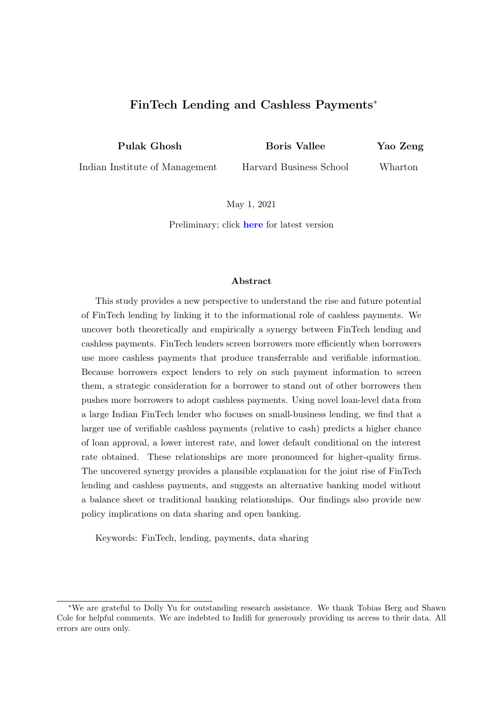# FinTech Lending and Cashless Payments<sup>∗</sup>

Pulak Ghosh

Boris Vallee

Yao Zeng

Indian Institute of Management

Harvard Business School

Wharton

May 1, 2021

Preliminary; click [here](https://sites.google.com/site/yaozengwebsite/FinTech_Lending_Payment.pdf) for latest version

#### Abstract

This study provides a new perspective to understand the rise and future potential of FinTech lending by linking it to the informational role of cashless payments. We uncover both theoretically and empirically a synergy between FinTech lending and cashless payments. FinTech lenders screen borrowers more efficiently when borrowers use more cashless payments that produce transferrable and verifiable information. Because borrowers expect lenders to rely on such payment information to screen them, a strategic consideration for a borrower to stand out of other borrowers then pushes more borrowers to adopt cashless payments. Using novel loan-level data from a large Indian FinTech lender who focuses on small-business lending, we find that a larger use of verifiable cashless payments (relative to cash) predicts a higher chance of loan approval, a lower interest rate, and lower default conditional on the interest rate obtained. These relationships are more pronounced for higher-quality firms. The uncovered synergy provides a plausible explanation for the joint rise of FinTech lending and cashless payments, and suggests an alternative banking model without a balance sheet or traditional banking relationships. Our findings also provide new policy implications on data sharing and open banking.

Keywords: FinTech, lending, payments, data sharing

<sup>∗</sup>We are grateful to Dolly Yu for outstanding research assistance. We thank Tobias Berg and Shawn Cole for helpful comments. We are indebted to Indifi for generously providing us access to their data. All errors are ours only.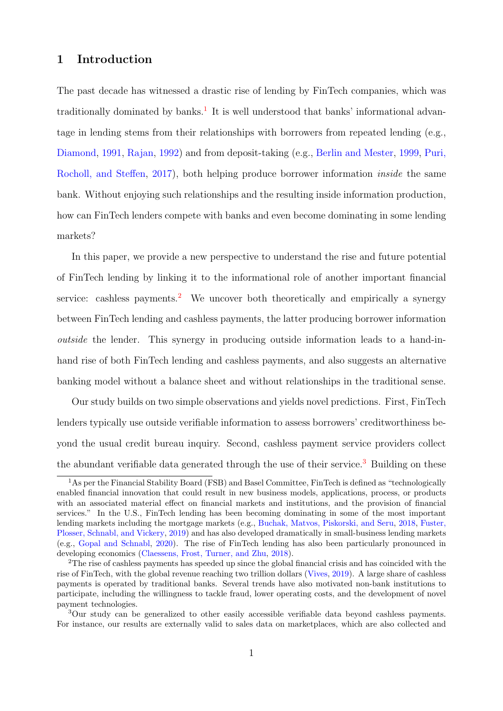## 1 Introduction

The past decade has witnessed a drastic rise of lending by FinTech companies, which was traditionally dominated by banks.<sup>[1](#page-1-0)</sup> It is well understood that banks' informational advantage in lending stems from their relationships with borrowers from repeated lending (e.g., [Diamond,](#page-30-0) [1991,](#page-30-0) [Rajan,](#page-31-0) [1992\)](#page-31-0) and from deposit-taking (e.g., [Berlin and Mester,](#page-29-0) [1999,](#page-29-0) [Puri,](#page-31-1) [Rocholl, and Steffen,](#page-31-1) [2017\)](#page-31-1), both helping produce borrower information inside the same bank. Without enjoying such relationships and the resulting inside information production, how can FinTech lenders compete with banks and even become dominating in some lending markets?

In this paper, we provide a new perspective to understand the rise and future potential of FinTech lending by linking it to the informational role of another important financial service: cashless payments.<sup>[2](#page-1-1)</sup> We uncover both theoretically and empirically a synergy between FinTech lending and cashless payments, the latter producing borrower information outside the lender. This synergy in producing outside information leads to a hand-inhand rise of both FinTech lending and cashless payments, and also suggests an alternative banking model without a balance sheet and without relationships in the traditional sense.

Our study builds on two simple observations and yields novel predictions. First, FinTech lenders typically use outside verifiable information to assess borrowers' creditworthiness beyond the usual credit bureau inquiry. Second, cashless payment service providers collect the abundant verifiable data generated through the use of their service.<sup>[3](#page-1-2)</sup> Building on these

<span id="page-1-0"></span><sup>&</sup>lt;sup>1</sup>As per the Financial Stability Board (FSB) and Basel Committee, FinTech is defined as "technologically enabled financial innovation that could result in new business models, applications, process, or products with an associated material effect on financial markets and institutions, and the provision of financial services." In the U.S., FinTech lending has been becoming dominating in some of the most important lending markets including the mortgage markets (e.g., [Buchak, Matvos, Piskorski, and Seru,](#page-29-1) [2018,](#page-29-1) [Fuster,](#page-30-1) [Plosser, Schnabl, and Vickery,](#page-30-1) [2019\)](#page-30-1) and has also developed dramatically in small-business lending markets (e.g., [Gopal and Schnabl,](#page-30-2) [2020\)](#page-30-2). The rise of FinTech lending has also been particularly pronounced in developing economics [\(Claessens, Frost, Turner, and Zhu,](#page-29-2) [2018\)](#page-29-2).

<span id="page-1-1"></span><sup>&</sup>lt;sup>2</sup>The rise of cashless payments has speeded up since the global financial crisis and has coincided with the rise of FinTech, with the global revenue reaching two trillion dollars [\(Vives,](#page-31-2) [2019\)](#page-31-2). A large share of cashless payments is operated by traditional banks. Several trends have also motivated non-bank institutions to participate, including the willingness to tackle fraud, lower operating costs, and the development of novel payment technologies.

<span id="page-1-2"></span><sup>&</sup>lt;sup>3</sup>Our study can be generalized to other easily accessible verifiable data beyond cashless payments. For instance, our results are externally valid to sales data on marketplaces, which are also collected and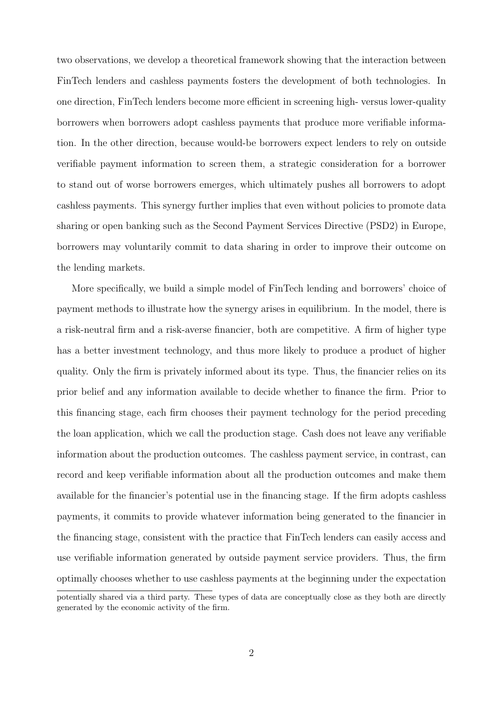two observations, we develop a theoretical framework showing that the interaction between FinTech lenders and cashless payments fosters the development of both technologies. In one direction, FinTech lenders become more efficient in screening high- versus lower-quality borrowers when borrowers adopt cashless payments that produce more verifiable information. In the other direction, because would-be borrowers expect lenders to rely on outside verifiable payment information to screen them, a strategic consideration for a borrower to stand out of worse borrowers emerges, which ultimately pushes all borrowers to adopt cashless payments. This synergy further implies that even without policies to promote data sharing or open banking such as the Second Payment Services Directive (PSD2) in Europe, borrowers may voluntarily commit to data sharing in order to improve their outcome on the lending markets.

More specifically, we build a simple model of FinTech lending and borrowers' choice of payment methods to illustrate how the synergy arises in equilibrium. In the model, there is a risk-neutral firm and a risk-averse financier, both are competitive. A firm of higher type has a better investment technology, and thus more likely to produce a product of higher quality. Only the firm is privately informed about its type. Thus, the financier relies on its prior belief and any information available to decide whether to finance the firm. Prior to this financing stage, each firm chooses their payment technology for the period preceding the loan application, which we call the production stage. Cash does not leave any verifiable information about the production outcomes. The cashless payment service, in contrast, can record and keep verifiable information about all the production outcomes and make them available for the financier's potential use in the financing stage. If the firm adopts cashless payments, it commits to provide whatever information being generated to the financier in the financing stage, consistent with the practice that FinTech lenders can easily access and use verifiable information generated by outside payment service providers. Thus, the firm optimally chooses whether to use cashless payments at the beginning under the expectation

potentially shared via a third party. These types of data are conceptually close as they both are directly generated by the economic activity of the firm.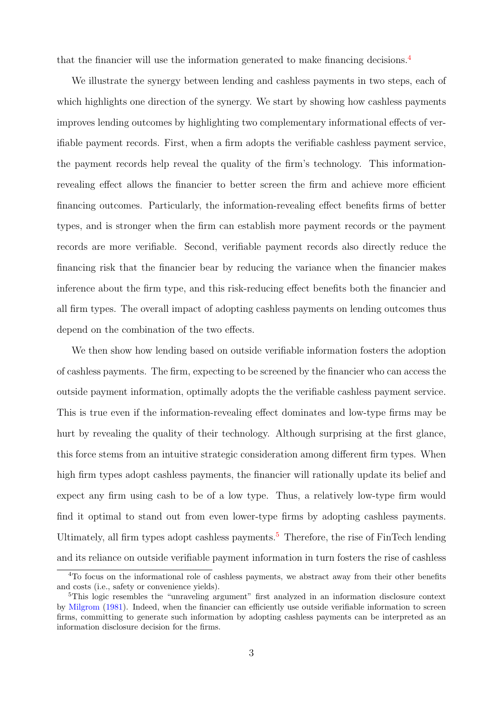that the financier will use the information generated to make financing decisions.[4](#page-3-0)

We illustrate the synergy between lending and cashless payments in two steps, each of which highlights one direction of the synergy. We start by showing how cashless payments improves lending outcomes by highlighting two complementary informational effects of verifiable payment records. First, when a firm adopts the verifiable cashless payment service, the payment records help reveal the quality of the firm's technology. This informationrevealing effect allows the financier to better screen the firm and achieve more efficient financing outcomes. Particularly, the information-revealing effect benefits firms of better types, and is stronger when the firm can establish more payment records or the payment records are more verifiable. Second, verifiable payment records also directly reduce the financing risk that the financier bear by reducing the variance when the financier makes inference about the firm type, and this risk-reducing effect benefits both the financier and all firm types. The overall impact of adopting cashless payments on lending outcomes thus depend on the combination of the two effects.

We then show how lending based on outside verifiable information fosters the adoption of cashless payments. The firm, expecting to be screened by the financier who can access the outside payment information, optimally adopts the the verifiable cashless payment service. This is true even if the information-revealing effect dominates and low-type firms may be hurt by revealing the quality of their technology. Although surprising at the first glance, this force stems from an intuitive strategic consideration among different firm types. When high firm types adopt cashless payments, the financier will rationally update its belief and expect any firm using cash to be of a low type. Thus, a relatively low-type firm would find it optimal to stand out from even lower-type firms by adopting cashless payments. Ultimately, all firm types adopt cashless payments.<sup>[5](#page-3-1)</sup> Therefore, the rise of FinTech lending and its reliance on outside verifiable payment information in turn fosters the rise of cashless

<span id="page-3-0"></span><sup>4</sup>To focus on the informational role of cashless payments, we abstract away from their other benefits and costs (i.e., safety or convenience yields).

<span id="page-3-1"></span><sup>&</sup>lt;sup>5</sup>This logic resembles the "unraveling argument" first analyzed in an information disclosure context by [Milgrom](#page-31-3) [\(1981\)](#page-31-3). Indeed, when the financier can efficiently use outside verifiable information to screen firms, committing to generate such information by adopting cashless payments can be interpreted as an information disclosure decision for the firms.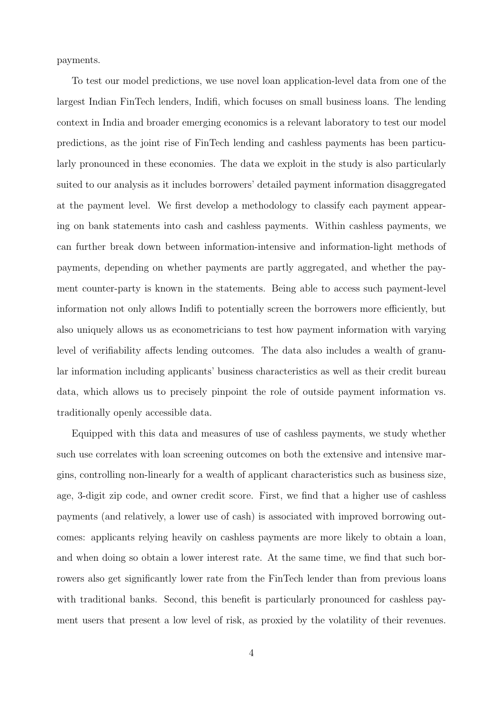payments.

To test our model predictions, we use novel loan application-level data from one of the largest Indian FinTech lenders, Indifi, which focuses on small business loans. The lending context in India and broader emerging economics is a relevant laboratory to test our model predictions, as the joint rise of FinTech lending and cashless payments has been particularly pronounced in these economies. The data we exploit in the study is also particularly suited to our analysis as it includes borrowers' detailed payment information disaggregated at the payment level. We first develop a methodology to classify each payment appearing on bank statements into cash and cashless payments. Within cashless payments, we can further break down between information-intensive and information-light methods of payments, depending on whether payments are partly aggregated, and whether the payment counter-party is known in the statements. Being able to access such payment-level information not only allows Indifi to potentially screen the borrowers more efficiently, but also uniquely allows us as econometricians to test how payment information with varying level of verifiability affects lending outcomes. The data also includes a wealth of granular information including applicants' business characteristics as well as their credit bureau data, which allows us to precisely pinpoint the role of outside payment information vs. traditionally openly accessible data.

Equipped with this data and measures of use of cashless payments, we study whether such use correlates with loan screening outcomes on both the extensive and intensive margins, controlling non-linearly for a wealth of applicant characteristics such as business size, age, 3-digit zip code, and owner credit score. First, we find that a higher use of cashless payments (and relatively, a lower use of cash) is associated with improved borrowing outcomes: applicants relying heavily on cashless payments are more likely to obtain a loan, and when doing so obtain a lower interest rate. At the same time, we find that such borrowers also get significantly lower rate from the FinTech lender than from previous loans with traditional banks. Second, this benefit is particularly pronounced for cashless payment users that present a low level of risk, as proxied by the volatility of their revenues.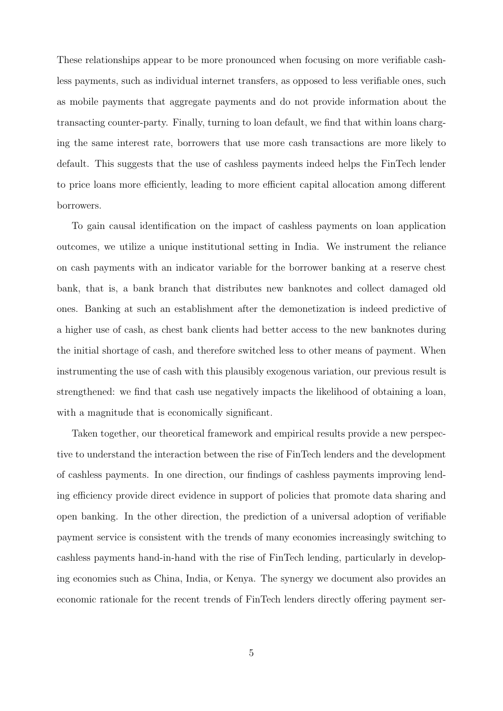These relationships appear to be more pronounced when focusing on more verifiable cashless payments, such as individual internet transfers, as opposed to less verifiable ones, such as mobile payments that aggregate payments and do not provide information about the transacting counter-party. Finally, turning to loan default, we find that within loans charging the same interest rate, borrowers that use more cash transactions are more likely to default. This suggests that the use of cashless payments indeed helps the FinTech lender to price loans more efficiently, leading to more efficient capital allocation among different borrowers.

To gain causal identification on the impact of cashless payments on loan application outcomes, we utilize a unique institutional setting in India. We instrument the reliance on cash payments with an indicator variable for the borrower banking at a reserve chest bank, that is, a bank branch that distributes new banknotes and collect damaged old ones. Banking at such an establishment after the demonetization is indeed predictive of a higher use of cash, as chest bank clients had better access to the new banknotes during the initial shortage of cash, and therefore switched less to other means of payment. When instrumenting the use of cash with this plausibly exogenous variation, our previous result is strengthened: we find that cash use negatively impacts the likelihood of obtaining a loan, with a magnitude that is economically significant.

Taken together, our theoretical framework and empirical results provide a new perspective to understand the interaction between the rise of FinTech lenders and the development of cashless payments. In one direction, our findings of cashless payments improving lending efficiency provide direct evidence in support of policies that promote data sharing and open banking. In the other direction, the prediction of a universal adoption of verifiable payment service is consistent with the trends of many economies increasingly switching to cashless payments hand-in-hand with the rise of FinTech lending, particularly in developing economies such as China, India, or Kenya. The synergy we document also provides an economic rationale for the recent trends of FinTech lenders directly offering payment ser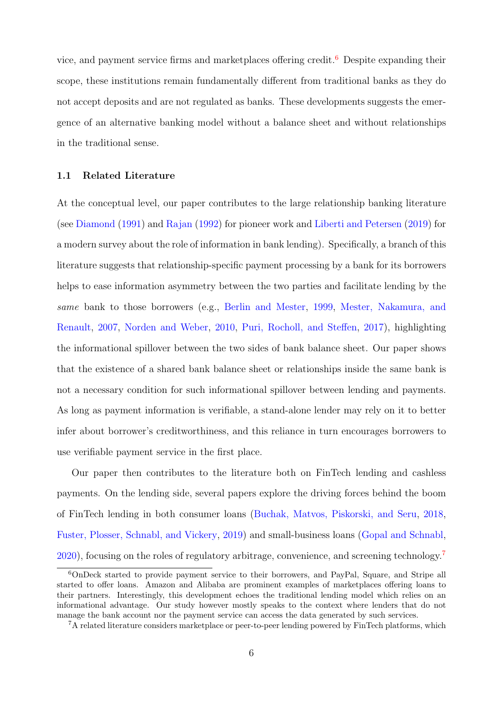vice, and payment service firms and marketplaces offering credit.<sup>[6](#page-6-0)</sup> Despite expanding their scope, these institutions remain fundamentally different from traditional banks as they do not accept deposits and are not regulated as banks. These developments suggests the emergence of an alternative banking model without a balance sheet and without relationships in the traditional sense.

### 1.1 Related Literature

At the conceptual level, our paper contributes to the large relationship banking literature (see [Diamond](#page-30-0) [\(1991\)](#page-30-0) and [Rajan](#page-31-0) [\(1992\)](#page-31-0) for pioneer work and [Liberti and Petersen](#page-30-3) [\(2019\)](#page-30-3) for a modern survey about the role of information in bank lending). Specifically, a branch of this literature suggests that relationship-specific payment processing by a bank for its borrowers helps to ease information asymmetry between the two parties and facilitate lending by the same bank to those borrowers (e.g., [Berlin and Mester,](#page-29-0) [1999,](#page-29-0) [Mester, Nakamura, and](#page-31-4) [Renault,](#page-31-4) [2007,](#page-31-4) [Norden and Weber,](#page-31-5) [2010,](#page-31-5) [Puri, Rocholl, and Steffen,](#page-31-1) [2017\)](#page-31-1), highlighting the informational spillover between the two sides of bank balance sheet. Our paper shows that the existence of a shared bank balance sheet or relationships inside the same bank is not a necessary condition for such informational spillover between lending and payments. As long as payment information is verifiable, a stand-alone lender may rely on it to better infer about borrower's creditworthiness, and this reliance in turn encourages borrowers to use verifiable payment service in the first place.

Our paper then contributes to the literature both on FinTech lending and cashless payments. On the lending side, several papers explore the driving forces behind the boom of FinTech lending in both consumer loans [\(Buchak, Matvos, Piskorski, and Seru,](#page-29-1) [2018,](#page-29-1) [Fuster, Plosser, Schnabl, and Vickery,](#page-30-1) [2019\)](#page-30-1) and small-business loans [\(Gopal and Schnabl,](#page-30-2)  $2020$ , focusing on the roles of regulatory arbitrage, convenience, and screening technology.<sup>[7](#page-6-1)</sup>

<span id="page-6-0"></span><sup>6</sup>OnDeck started to provide payment service to their borrowers, and PayPal, Square, and Stripe all started to offer loans. Amazon and Alibaba are prominent examples of marketplaces offering loans to their partners. Interestingly, this development echoes the traditional lending model which relies on an informational advantage. Our study however mostly speaks to the context where lenders that do not manage the bank account nor the payment service can access the data generated by such services.

<span id="page-6-1"></span><sup>7</sup>A related literature considers marketplace or peer-to-peer lending powered by FinTech platforms, which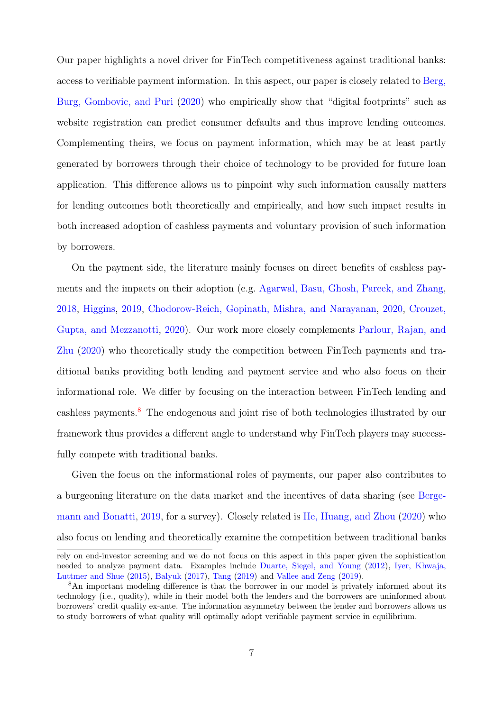Our paper highlights a novel driver for FinTech competitiveness against traditional banks: access to verifiable payment information. In this aspect, our paper is closely related to [Berg,](#page-29-3) [Burg, Gombovic, and Puri](#page-29-3) [\(2020\)](#page-29-3) who empirically show that "digital footprints" such as website registration can predict consumer defaults and thus improve lending outcomes. Complementing theirs, we focus on payment information, which may be at least partly generated by borrowers through their choice of technology to be provided for future loan application. This difference allows us to pinpoint why such information causally matters for lending outcomes both theoretically and empirically, and how such impact results in both increased adoption of cashless payments and voluntary provision of such information by borrowers.

On the payment side, the literature mainly focuses on direct benefits of cashless payments and the impacts on their adoption (e.g. [Agarwal, Basu, Ghosh, Pareek, and Zhang,](#page-29-4) [2018,](#page-29-4) [Higgins,](#page-30-4) [2019,](#page-30-4) [Chodorow-Reich, Gopinath, Mishra, and Narayanan,](#page-29-5) [2020,](#page-29-5) [Crouzet,](#page-30-5) [Gupta, and Mezzanotti,](#page-30-5) [2020\)](#page-30-5). Our work more closely complements [Parlour, Rajan, and](#page-31-6) [Zhu](#page-31-6) [\(2020\)](#page-31-6) who theoretically study the competition between FinTech payments and traditional banks providing both lending and payment service and who also focus on their informational role. We differ by focusing on the interaction between FinTech lending and cashless payments.<sup>[8](#page-7-0)</sup> The endogenous and joint rise of both technologies illustrated by our framework thus provides a different angle to understand why FinTech players may successfully compete with traditional banks.

Given the focus on the informational roles of payments, our paper also contributes to a burgeoning literature on the data market and the incentives of data sharing (see [Berge](#page-29-6)[mann and Bonatti,](#page-29-6) [2019,](#page-29-6) for a survey). Closely related is [He, Huang, and Zhou](#page-30-6) [\(2020\)](#page-30-6) who also focus on lending and theoretically examine the competition between traditional banks

rely on end-investor screening and we do not focus on this aspect in this paper given the sophistication needed to analyze payment data. Examples include [Duarte, Siegel, and Young](#page-30-7) [\(2012\)](#page-30-7), [Iyer, Khwaja,](#page-30-8) [Luttmer and Shue](#page-30-8) [\(2015\)](#page-30-8), [Balyuk](#page-29-7) [\(2017\)](#page-29-7), [Tang](#page-31-7) [\(2019\)](#page-31-7) and [Vallee and Zeng](#page-31-8) [\(2019\)](#page-31-8).

<span id="page-7-0"></span><sup>&</sup>lt;sup>8</sup>An important modeling difference is that the borrower in our model is privately informed about its technology (i.e., quality), while in their model both the lenders and the borrowers are uninformed about borrowers' credit quality ex-ante. The information asymmetry between the lender and borrowers allows us to study borrowers of what quality will optimally adopt verifiable payment service in equilibrium.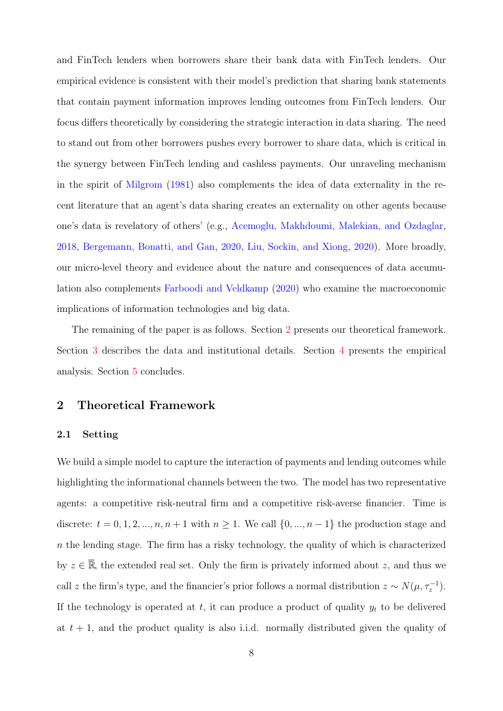and FinTech lenders when borrowers share their bank data with FinTech lenders. Our empirical evidence is consistent with their model's prediction that sharing bank statements that contain payment information improves lending outcomes from FinTech lenders. Our focus differs theoretically by considering the strategic interaction in data sharing. The need to stand out from other borrowers pushes every borrower to share data, which is critical in the synergy between FinTech lending and cashless payments. Our unraveling mechanism in the spirit of [Milgrom](#page-31-3) [\(1981\)](#page-31-3) also complements the idea of data externality in the recent literature that an agent's data sharing creates an externality on other agents because one's data is revelatory of others' (e.g., [Acemoglu, Makhdoumi, Malekian, and Ozdaglar,](#page-29-8) [2018,](#page-29-8) [Bergemann, Bonatti, and Gan,](#page-29-9) [2020,](#page-29-9) [Liu, Sockin, and Xiong,](#page-30-9) [2020\)](#page-30-9). More broadly, our micro-level theory and evidence about the nature and consequences of data accumulation also complements [Farboodi and Veldkamp](#page-30-10) [\(2020\)](#page-30-10) who examine the macroeconomic implications of information technologies and big data.

The remaining of the paper is as follows. Section [2](#page-8-0) presents our theoretical framework. Section [3](#page-18-0) describes the data and institutional details. Section [4](#page-21-0) presents the empirical analysis. Section [5](#page-27-0) concludes.

## <span id="page-8-0"></span>2 Theoretical Framework

#### 2.1 Setting

We build a simple model to capture the interaction of payments and lending outcomes while highlighting the informational channels between the two. The model has two representative agents: a competitive risk-neutral firm and a competitive risk-averse financier. Time is discrete:  $t = 0, 1, 2, ..., n, n + 1$  with  $n \ge 1$ . We call  $\{0, ..., n-1\}$  the production stage and  $n$  the lending stage. The firm has a risky technology, the quality of which is characterized by  $z \in \overline{\mathbb{R}}$ , the extended real set. Only the firm is privately informed about z, and thus we call z the firm's type, and the financier's prior follows a normal distribution  $z \sim N(\mu, \tau_z^{-1})$ . If the technology is operated at t, it can produce a product of quality  $y_t$  to be delivered at  $t + 1$ , and the product quality is also i.i.d. normally distributed given the quality of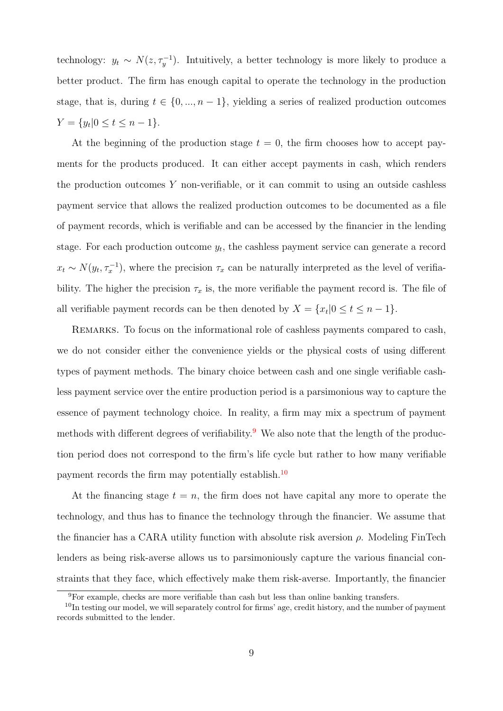technology:  $y_t \sim N(z, \tau_y^{-1})$ . Intuitively, a better technology is more likely to produce a better product. The firm has enough capital to operate the technology in the production stage, that is, during  $t \in \{0, ..., n-1\}$ , yielding a series of realized production outcomes  $Y = \{y_t | 0 \le t \le n - 1\}.$ 

At the beginning of the production stage  $t = 0$ , the firm chooses how to accept payments for the products produced. It can either accept payments in cash, which renders the production outcomes  $Y$  non-verifiable, or it can commit to using an outside cashless payment service that allows the realized production outcomes to be documented as a file of payment records, which is verifiable and can be accessed by the financier in the lending stage. For each production outcome  $y_t$ , the cashless payment service can generate a record  $x_t \sim N(y_t, \tau_x^{-1})$ , where the precision  $\tau_x$  can be naturally interpreted as the level of verifiability. The higher the precision  $\tau_x$  is, the more verifiable the payment record is. The file of all verifiable payment records can be then denoted by  $X = \{x_t | 0 \le t \le n - 1\}$ .

REMARKS. To focus on the informational role of cashless payments compared to cash, we do not consider either the convenience yields or the physical costs of using different types of payment methods. The binary choice between cash and one single verifiable cashless payment service over the entire production period is a parsimonious way to capture the essence of payment technology choice. In reality, a firm may mix a spectrum of payment methods with different degrees of verifiability.<sup>[9](#page-9-0)</sup> We also note that the length of the production period does not correspond to the firm's life cycle but rather to how many verifiable payment records the firm may potentially establish.<sup>[10](#page-9-1)</sup>

At the financing stage  $t = n$ , the firm does not have capital any more to operate the technology, and thus has to finance the technology through the financier. We assume that the financier has a CARA utility function with absolute risk aversion  $\rho$ . Modeling FinTech lenders as being risk-averse allows us to parsimoniously capture the various financial constraints that they face, which effectively make them risk-averse. Importantly, the financier

<span id="page-9-1"></span><span id="page-9-0"></span><sup>9</sup>For example, checks are more verifiable than cash but less than online banking transfers.

<sup>&</sup>lt;sup>10</sup>In testing our model, we will separately control for firms' age, credit history, and the number of payment records submitted to the lender.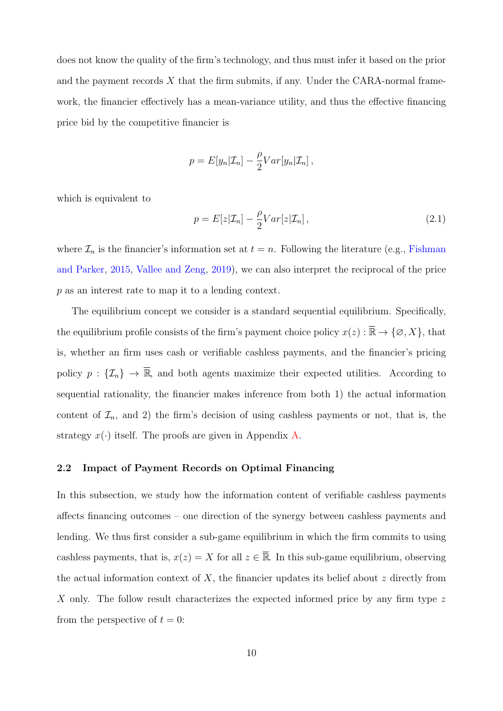does not know the quality of the firm's technology, and thus must infer it based on the prior and the payment records  $X$  that the firm submits, if any. Under the CARA-normal framework, the financier effectively has a mean-variance utility, and thus the effective financing price bid by the competitive financier is

$$
p = E[y_n | \mathcal{I}_n] - \frac{\rho}{2} Var[y_n | \mathcal{I}_n],
$$

which is equivalent to

<span id="page-10-0"></span>
$$
p = E[z|\mathcal{I}_n] - \frac{\rho}{2}Var[z|\mathcal{I}_n], \qquad (2.1)
$$

where  $\mathcal{I}_n$  is the financier's information set at  $t = n$ . Following the literature (e.g., [Fishman](#page-30-11) [and Parker,](#page-30-11) [2015,](#page-30-11) [Vallee and Zeng,](#page-31-8) [2019\)](#page-31-8), we can also interpret the reciprocal of the price p as an interest rate to map it to a lending context.

The equilibrium concept we consider is a standard sequential equilibrium. Specifically, the equilibrium profile consists of the firm's payment choice policy  $x(z) : \overline{\mathbb{R}} \to \{\emptyset, X\}$ , that is, whether an firm uses cash or verifiable cashless payments, and the financier's pricing policy  $p : \{\mathcal{I}_n\} \to \overline{\mathbb{R}}$ , and both agents maximize their expected utilities. According to sequential rationality, the financier makes inference from both 1) the actual information content of  $\mathcal{I}_n$ , and 2) the firm's decision of using cashless payments or not, that is, the strategy  $x(\cdot)$  itself. The proofs are given in Appendix [A.](#page-39-0)

## 2.2 Impact of Payment Records on Optimal Financing

In this subsection, we study how the information content of verifiable cashless payments affects financing outcomes – one direction of the synergy between cashless payments and lending. We thus first consider a sub-game equilibrium in which the firm commits to using cashless payments, that is,  $x(z) = X$  for all  $z \in \overline{\mathbb{R}}$ . In this sub-game equilibrium, observing the actual information context of  $X$ , the financier updates its belief about  $z$  directly from X only. The follow result characterizes the expected informed price by any firm type z from the perspective of  $t = 0$ :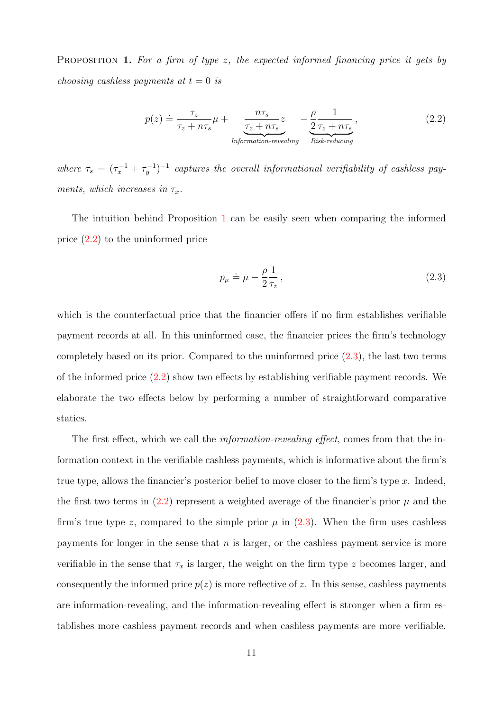<span id="page-11-0"></span>**PROPOSITION 1.** For a firm of type z, the expected informed financing price it gets by choosing cashless payments at  $t = 0$  is

<span id="page-11-1"></span>
$$
p(z) \doteq \frac{\tau_z}{\tau_z + n\tau_s} \mu + \frac{n\tau_s}{\frac{\tau_z + n\tau_s}{\text{Information-revealing}}} - \frac{\rho}{2} \frac{1}{\tau_z + n\tau_s},\tag{2.2}
$$

where  $\tau_s = (\tau_x^{-1} + \tau_y^{-1})^{-1}$  captures the overall informational verifiability of cashless payments, which increases in  $\tau_x$ .

The intuition behind Proposition [1](#page-11-0) can be easily seen when comparing the informed price [\(2.2\)](#page-11-1) to the uninformed price

<span id="page-11-2"></span>
$$
p_{\mu} \doteq \mu - \frac{\rho}{2} \frac{1}{\tau_z},\tag{2.3}
$$

which is the counterfactual price that the financier offers if no firm establishes verifiable payment records at all. In this uninformed case, the financier prices the firm's technology completely based on its prior. Compared to the uninformed price [\(2.3\)](#page-11-2), the last two terms of the informed price  $(2.2)$  show two effects by establishing verifiable payment records. We elaborate the two effects below by performing a number of straightforward comparative statics.

The first effect, which we call the *information-revealing effect*, comes from that the information context in the verifiable cashless payments, which is informative about the firm's true type, allows the financier's posterior belief to move closer to the firm's type  $x$ . Indeed, the first two terms in  $(2.2)$  represent a weighted average of the financier's prior  $\mu$  and the firm's true type z, compared to the simple prior  $\mu$  in [\(2.3\)](#page-11-2). When the firm uses cashless payments for longer in the sense that  $n$  is larger, or the cashless payment service is more verifiable in the sense that  $\tau_x$  is larger, the weight on the firm type z becomes larger, and consequently the informed price  $p(z)$  is more reflective of z. In this sense, cashless payments are information-revealing, and the information-revealing effect is stronger when a firm establishes more cashless payment records and when cashless payments are more verifiable.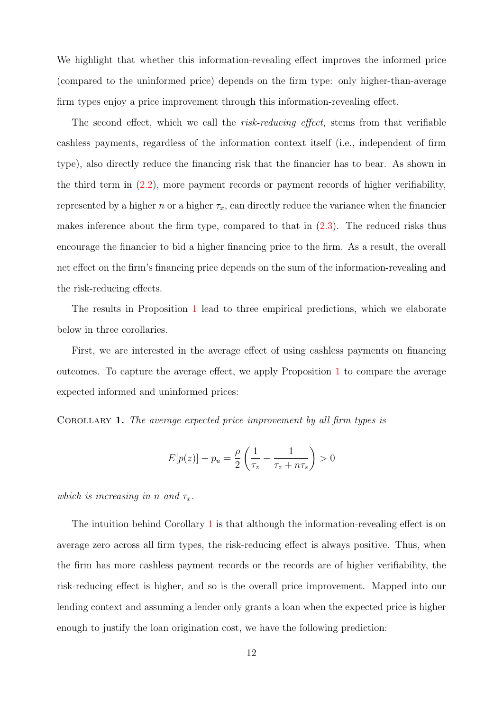We highlight that whether this information-revealing effect improves the informed price (compared to the uninformed price) depends on the firm type: only higher-than-average firm types enjoy a price improvement through this information-revealing effect.

The second effect, which we call the *risk-reducing effect*, stems from that verifiable cashless payments, regardless of the information context itself (i.e., independent of firm type), also directly reduce the financing risk that the financier has to bear. As shown in the third term in [\(2.2\)](#page-11-1), more payment records or payment records of higher verifiability, represented by a higher n or a higher  $\tau_x$ , can directly reduce the variance when the financier makes inference about the firm type, compared to that in [\(2.3\)](#page-11-2). The reduced risks thus encourage the financier to bid a higher financing price to the firm. As a result, the overall net effect on the firm's financing price depends on the sum of the information-revealing and the risk-reducing effects.

The results in Proposition [1](#page-11-0) lead to three empirical predictions, which we elaborate below in three corollaries.

First, we are interested in the average effect of using cashless payments on financing outcomes. To capture the average effect, we apply Proposition [1](#page-11-0) to compare the average expected informed and uninformed prices:

<span id="page-12-0"></span>COROLLARY 1. The average expected price improvement by all firm types is

$$
E[p(z)] - p_u = \frac{\rho}{2} \left( \frac{1}{\tau_z} - \frac{1}{\tau_z + n\tau_s} \right) > 0
$$

which is increasing in n and  $\tau_x$ .

The intuition behind Corollary [1](#page-12-0) is that although the information-revealing effect is on average zero across all firm types, the risk-reducing effect is always positive. Thus, when the firm has more cashless payment records or the records are of higher verifiability, the risk-reducing effect is higher, and so is the overall price improvement. Mapped into our lending context and assuming a lender only grants a loan when the expected price is higher enough to justify the loan origination cost, we have the following prediction: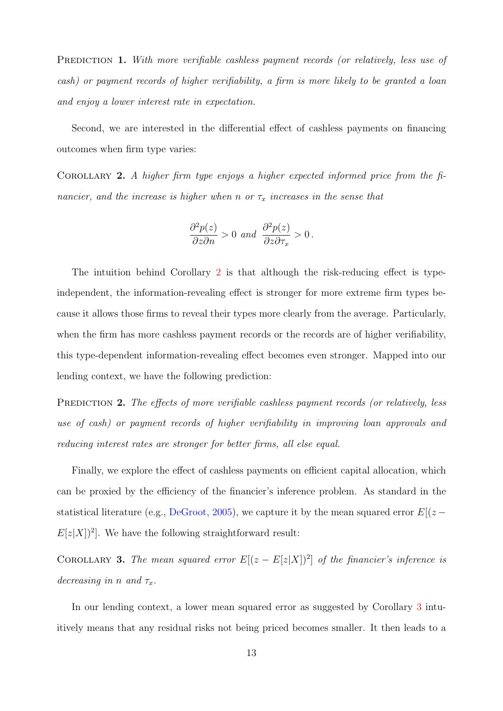<span id="page-13-2"></span>PREDICTION 1. With more verifiable cashless payment records (or relatively, less use of cash) or payment records of higher verifiability, a firm is more likely to be granted a loan and enjoy a lower interest rate in expectation.

Second, we are interested in the differential effect of cashless payments on financing outcomes when firm type varies:

<span id="page-13-0"></span>COROLLARY 2. A higher firm type enjoys a higher expected informed price from the financier, and the increase is higher when n or  $\tau_x$  increases in the sense that

$$
\frac{\partial^2 p(z)}{\partial z \partial n} > 0 \text{ and } \frac{\partial^2 p(z)}{\partial z \partial \tau_x} > 0.
$$

The intuition behind Corollary [2](#page-13-0) is that although the risk-reducing effect is typeindependent, the information-revealing effect is stronger for more extreme firm types because it allows those firms to reveal their types more clearly from the average. Particularly, when the firm has more cashless payment records or the records are of higher verifiability, this type-dependent information-revealing effect becomes even stronger. Mapped into our lending context, we have the following prediction:

<span id="page-13-3"></span>PREDICTION 2. The effects of more verifiable cashless payment records (or relatively, less use of cash) or payment records of higher verifiability in improving loan approvals and reducing interest rates are stronger for better firms, all else equal.

Finally, we explore the effect of cashless payments on efficient capital allocation, which can be proxied by the efficiency of the financier's inference problem. As standard in the statistical literature (e.g., [DeGroot,](#page-30-12) [2005\)](#page-30-12), we capture it by the mean squared error  $E[(z E[z|X|]^2$ . We have the following straightforward result:

<span id="page-13-1"></span>COROLLARY 3. The mean squared error  $E[(z-E[z|X])^2]$  of the financier's inference is decreasing in n and  $\tau_x$ .

In our lending context, a lower mean squared error as suggested by Corollary [3](#page-13-1) intuitively means that any residual risks not being priced becomes smaller. It then leads to a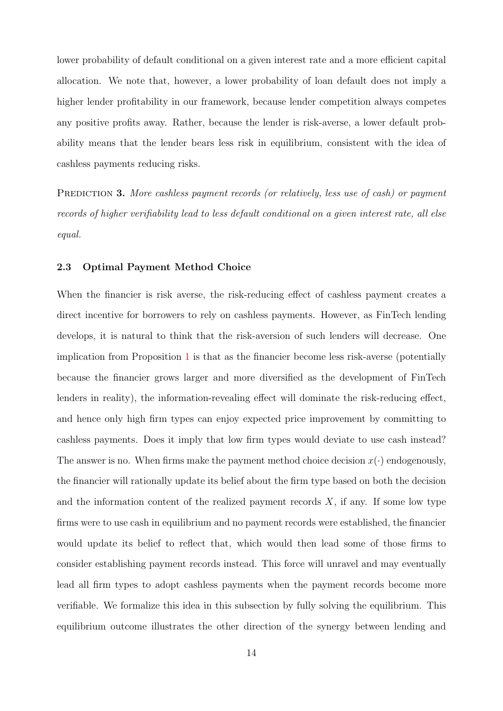lower probability of default conditional on a given interest rate and a more efficient capital allocation. We note that, however, a lower probability of loan default does not imply a higher lender profitability in our framework, because lender competition always competes any positive profits away. Rather, because the lender is risk-averse, a lower default probability means that the lender bears less risk in equilibrium, consistent with the idea of cashless payments reducing risks.

<span id="page-14-0"></span>PREDICTION 3. More cashless payment records (or relatively, less use of cash) or payment records of higher verifiability lead to less default conditional on a given interest rate, all else equal.

#### 2.3 Optimal Payment Method Choice

When the financier is risk averse, the risk-reducing effect of cashless payment creates a direct incentive for borrowers to rely on cashless payments. However, as FinTech lending develops, it is natural to think that the risk-aversion of such lenders will decrease. One implication from Proposition [1](#page-11-0) is that as the financier become less risk-averse (potentially because the financier grows larger and more diversified as the development of FinTech lenders in reality), the information-revealing effect will dominate the risk-reducing effect, and hence only high firm types can enjoy expected price improvement by committing to cashless payments. Does it imply that low firm types would deviate to use cash instead? The answer is no. When firms make the payment method choice decision  $x(\cdot)$  endogenously, the financier will rationally update its belief about the firm type based on both the decision and the information content of the realized payment records  $X$ , if any. If some low type firms were to use cash in equilibrium and no payment records were established, the financier would update its belief to reflect that, which would then lead some of those firms to consider establishing payment records instead. This force will unravel and may eventually lead all firm types to adopt cashless payments when the payment records become more verifiable. We formalize this idea in this subsection by fully solving the equilibrium. This equilibrium outcome illustrates the other direction of the synergy between lending and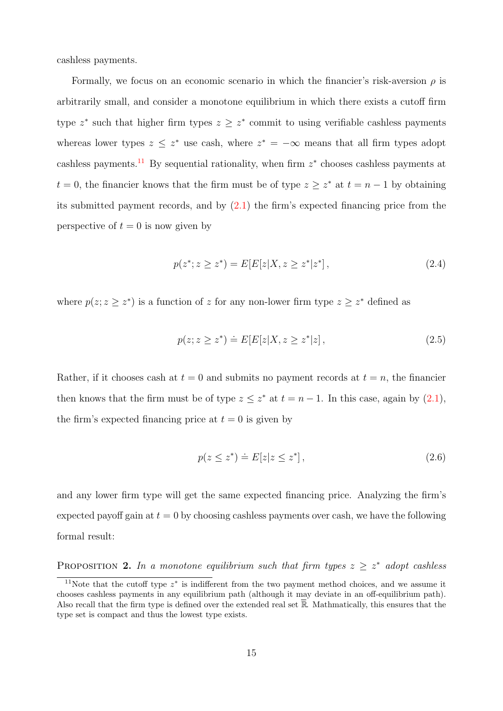cashless payments.

Formally, we focus on an economic scenario in which the financier's risk-aversion  $\rho$  is arbitrarily small, and consider a monotone equilibrium in which there exists a cutoff firm type  $z^*$  such that higher firm types  $z \geq z^*$  commit to using verifiable cashless payments whereas lower types  $z \leq z^*$  use cash, where  $z^* = -\infty$  means that all firm types adopt cashless payments.<sup>[11](#page-15-0)</sup> By sequential rationality, when firm  $z^*$  chooses cashless payments at  $t = 0$ , the financier knows that the firm must be of type  $z \geq z^*$  at  $t = n - 1$  by obtaining its submitted payment records, and by  $(2.1)$  the firm's expected financing price from the perspective of  $t = 0$  is now given by

<span id="page-15-2"></span>
$$
p(z^*; z \ge z^*) = E[E[z|X, z \ge z^*|z^*], \qquad (2.4)
$$

where  $p(z; z \geq z^*)$  is a function of z for any non-lower firm type  $z \geq z^*$  defined as

<span id="page-15-4"></span>
$$
p(z; z \ge z^*) \doteq E[E[z|X, z \ge z^*|z], \qquad (2.5)
$$

Rather, if it chooses cash at  $t = 0$  and submits no payment records at  $t = n$ , the financier then knows that the firm must be of type  $z \leq z^*$  at  $t = n - 1$ . In this case, again by  $(2.1)$ , the firm's expected financing price at  $t = 0$  is given by

<span id="page-15-3"></span>
$$
p(z \le z^*) \doteq E[z|z \le z^*],\tag{2.6}
$$

and any lower firm type will get the same expected financing price. Analyzing the firm's expected payoff gain at  $t = 0$  by choosing cashless payments over cash, we have the following formal result:

<span id="page-15-1"></span>**PROPOSITION 2.** In a monotone equilibrium such that firm types  $z \geq z^*$  adopt cashless

<span id="page-15-0"></span><sup>&</sup>lt;sup>11</sup>Note that the cutoff type  $z^*$  is indifferent from the two payment method choices, and we assume it chooses cashless payments in any equilibrium path (although it may deviate in an off-equilibrium path). Also recall that the firm type is defined over the extended real set  $\overline{\mathbb{R}}$ . Mathmatically, this ensures that the type set is compact and thus the lowest type exists.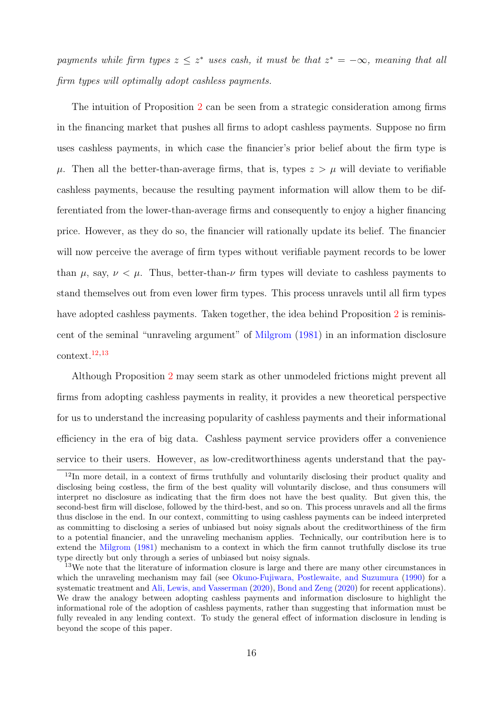payments while firm types  $z \leq z^*$  uses cash, it must be that  $z^* = -\infty$ , meaning that all firm types will optimally adopt cashless payments.

The intuition of Proposition [2](#page-15-1) can be seen from a strategic consideration among firms in the financing market that pushes all firms to adopt cashless payments. Suppose no firm uses cashless payments, in which case the financier's prior belief about the firm type is  $\mu$ . Then all the better-than-average firms, that is, types  $z > \mu$  will deviate to verifiable cashless payments, because the resulting payment information will allow them to be differentiated from the lower-than-average firms and consequently to enjoy a higher financing price. However, as they do so, the financier will rationally update its belief. The financier will now perceive the average of firm types without verifiable payment records to be lower than  $\mu$ , say,  $\nu < \mu$ . Thus, better-than- $\nu$  firm types will deviate to cashless payments to stand themselves out from even lower firm types. This process unravels until all firm types have adopted cashless payments. Taken together, the idea behind Proposition [2](#page-15-1) is reminiscent of the seminal "unraveling argument" of [Milgrom](#page-31-3) [\(1981\)](#page-31-3) in an information disclosure context.[12,](#page-16-0)[13](#page-16-1)

Although Proposition [2](#page-15-1) may seem stark as other unmodeled frictions might prevent all firms from adopting cashless payments in reality, it provides a new theoretical perspective for us to understand the increasing popularity of cashless payments and their informational efficiency in the era of big data. Cashless payment service providers offer a convenience service to their users. However, as low-creditworthiness agents understand that the pay-

<span id="page-16-0"></span><sup>&</sup>lt;sup>12</sup>In more detail, in a context of firms truthfully and voluntarily disclosing their product quality and disclosing being costless, the firm of the best quality will voluntarily disclose, and thus consumers will interpret no disclosure as indicating that the firm does not have the best quality. But given this, the second-best firm will disclose, followed by the third-best, and so on. This process unravels and all the firms thus disclose in the end. In our context, committing to using cashless payments can be indeed interpreted as committing to disclosing a series of unbiased but noisy signals about the creditworthiness of the firm to a potential financier, and the unraveling mechanism applies. Technically, our contribution here is to extend the [Milgrom](#page-31-3) [\(1981\)](#page-31-3) mechanism to a context in which the firm cannot truthfully disclose its true type directly but only through a series of unbiased but noisy signals.

<span id="page-16-1"></span><sup>&</sup>lt;sup>13</sup>We note that the literature of information closure is large and there are many other circumstances in which the unraveling mechanism may fail (see [Okuno-Fujiwara, Postlewaite, and Suzumura](#page-31-9) [\(1990\)](#page-31-9) for a systematic treatment and [Ali, Lewis, and Vasserman](#page-29-10) [\(2020\)](#page-29-10), [Bond and Zeng](#page-29-11) [\(2020\)](#page-29-11) for recent applications). We draw the analogy between adopting cashless payments and information disclosure to highlight the informational role of the adoption of cashless payments, rather than suggesting that information must be fully revealed in any lending context. To study the general effect of information disclosure in lending is beyond the scope of this paper.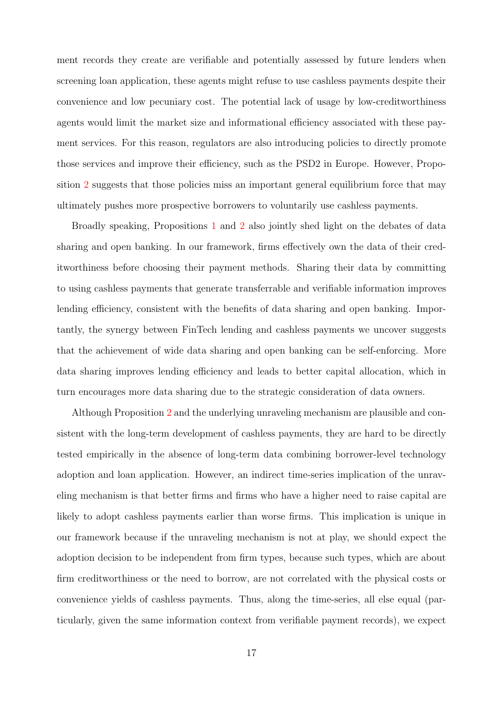ment records they create are verifiable and potentially assessed by future lenders when screening loan application, these agents might refuse to use cashless payments despite their convenience and low pecuniary cost. The potential lack of usage by low-creditworthiness agents would limit the market size and informational efficiency associated with these payment services. For this reason, regulators are also introducing policies to directly promote those services and improve their efficiency, such as the PSD2 in Europe. However, Proposition [2](#page-15-1) suggests that those policies miss an important general equilibrium force that may ultimately pushes more prospective borrowers to voluntarily use cashless payments.

Broadly speaking, Propositions [1](#page-11-0) and [2](#page-15-1) also jointly shed light on the debates of data sharing and open banking. In our framework, firms effectively own the data of their creditworthiness before choosing their payment methods. Sharing their data by committing to using cashless payments that generate transferrable and verifiable information improves lending efficiency, consistent with the benefits of data sharing and open banking. Importantly, the synergy between FinTech lending and cashless payments we uncover suggests that the achievement of wide data sharing and open banking can be self-enforcing. More data sharing improves lending efficiency and leads to better capital allocation, which in turn encourages more data sharing due to the strategic consideration of data owners.

Although Proposition [2](#page-15-1) and the underlying unraveling mechanism are plausible and consistent with the long-term development of cashless payments, they are hard to be directly tested empirically in the absence of long-term data combining borrower-level technology adoption and loan application. However, an indirect time-series implication of the unraveling mechanism is that better firms and firms who have a higher need to raise capital are likely to adopt cashless payments earlier than worse firms. This implication is unique in our framework because if the unraveling mechanism is not at play, we should expect the adoption decision to be independent from firm types, because such types, which are about firm creditworthiness or the need to borrow, are not correlated with the physical costs or convenience yields of cashless payments. Thus, along the time-series, all else equal (particularly, given the same information context from verifiable payment records), we expect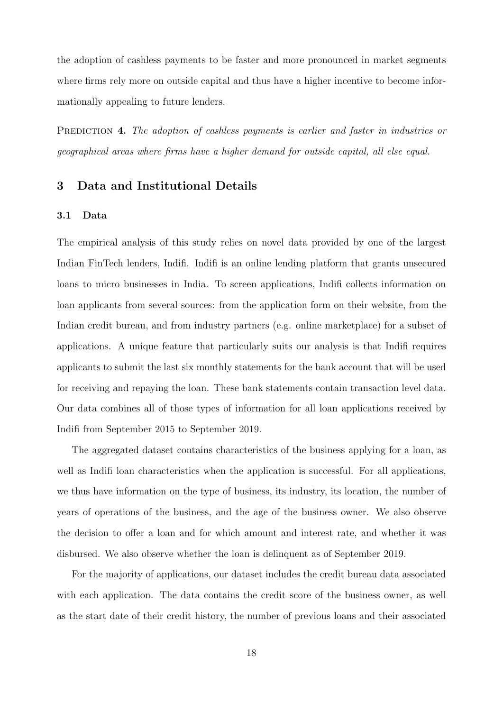the adoption of cashless payments to be faster and more pronounced in market segments where firms rely more on outside capital and thus have a higher incentive to become informationally appealing to future lenders.

<span id="page-18-1"></span>PREDICTION 4. The adoption of cashless payments is earlier and faster in industries or geographical areas where firms have a higher demand for outside capital, all else equal.

## <span id="page-18-0"></span>3 Data and Institutional Details

#### 3.1 Data

The empirical analysis of this study relies on novel data provided by one of the largest Indian FinTech lenders, Indifi. Indifi is an online lending platform that grants unsecured loans to micro businesses in India. To screen applications, Indifi collects information on loan applicants from several sources: from the application form on their website, from the Indian credit bureau, and from industry partners (e.g. online marketplace) for a subset of applications. A unique feature that particularly suits our analysis is that Indifi requires applicants to submit the last six monthly statements for the bank account that will be used for receiving and repaying the loan. These bank statements contain transaction level data. Our data combines all of those types of information for all loan applications received by Indifi from September 2015 to September 2019.

The aggregated dataset contains characteristics of the business applying for a loan, as well as Indifi loan characteristics when the application is successful. For all applications, we thus have information on the type of business, its industry, its location, the number of years of operations of the business, and the age of the business owner. We also observe the decision to offer a loan and for which amount and interest rate, and whether it was disbursed. We also observe whether the loan is delinquent as of September 2019.

For the majority of applications, our dataset includes the credit bureau data associated with each application. The data contains the credit score of the business owner, as well as the start date of their credit history, the number of previous loans and their associated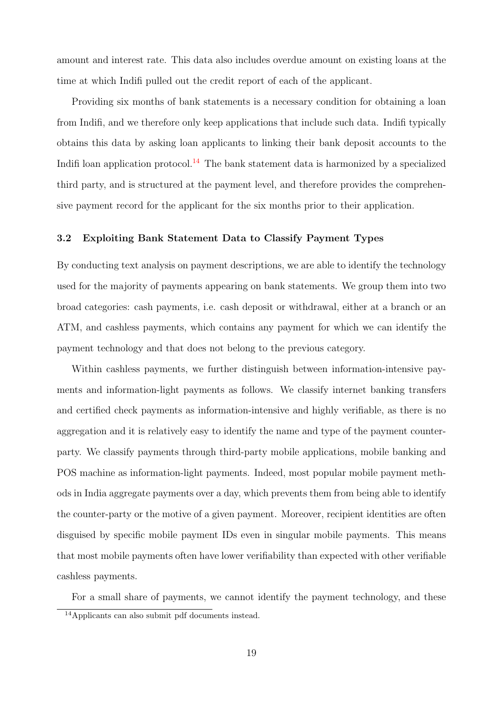amount and interest rate. This data also includes overdue amount on existing loans at the time at which Indifi pulled out the credit report of each of the applicant.

Providing six months of bank statements is a necessary condition for obtaining a loan from Indifi, and we therefore only keep applications that include such data. Indifi typically obtains this data by asking loan applicants to linking their bank deposit accounts to the Indifi loan application protocol.<sup>[14](#page-19-0)</sup> The bank statement data is harmonized by a specialized third party, and is structured at the payment level, and therefore provides the comprehensive payment record for the applicant for the six months prior to their application.

### 3.2 Exploiting Bank Statement Data to Classify Payment Types

By conducting text analysis on payment descriptions, we are able to identify the technology used for the majority of payments appearing on bank statements. We group them into two broad categories: cash payments, i.e. cash deposit or withdrawal, either at a branch or an ATM, and cashless payments, which contains any payment for which we can identify the payment technology and that does not belong to the previous category.

Within cashless payments, we further distinguish between information-intensive payments and information-light payments as follows. We classify internet banking transfers and certified check payments as information-intensive and highly verifiable, as there is no aggregation and it is relatively easy to identify the name and type of the payment counterparty. We classify payments through third-party mobile applications, mobile banking and POS machine as information-light payments. Indeed, most popular mobile payment methods in India aggregate payments over a day, which prevents them from being able to identify the counter-party or the motive of a given payment. Moreover, recipient identities are often disguised by specific mobile payment IDs even in singular mobile payments. This means that most mobile payments often have lower verifiability than expected with other verifiable cashless payments.

For a small share of payments, we cannot identify the payment technology, and these

<span id="page-19-0"></span><sup>14</sup>Applicants can also submit pdf documents instead.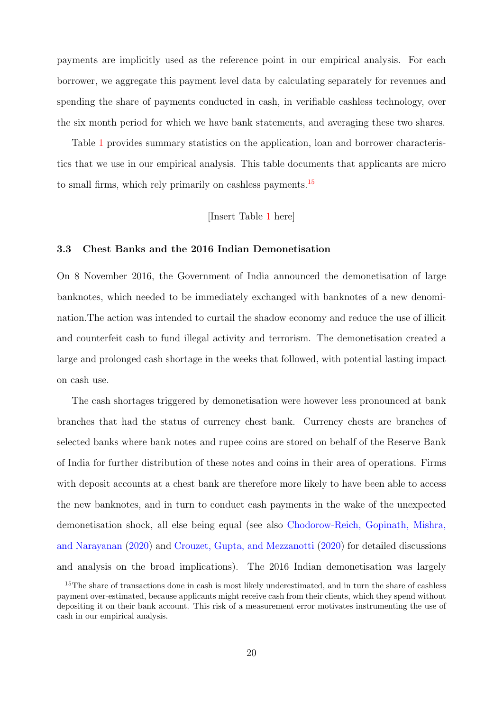payments are implicitly used as the reference point in our empirical analysis. For each borrower, we aggregate this payment level data by calculating separately for revenues and spending the share of payments conducted in cash, in verifiable cashless technology, over the six month period for which we have bank statements, and averaging these two shares.

Table [1](#page-32-0) provides summary statistics on the application, loan and borrower characteristics that we use in our empirical analysis. This table documents that applicants are micro to small firms, which rely primarily on cashless payments.<sup>[15](#page-20-0)</sup>

## [Insert Table [1](#page-32-0) here]

#### 3.3 Chest Banks and the 2016 Indian Demonetisation

On 8 November 2016, the Government of India announced the demonetisation of large banknotes, which needed to be immediately exchanged with banknotes of a new denomination.The action was intended to curtail the shadow economy and reduce the use of illicit and counterfeit cash to fund illegal activity and terrorism. The demonetisation created a large and prolonged cash shortage in the weeks that followed, with potential lasting impact on cash use.

The cash shortages triggered by demonetisation were however less pronounced at bank branches that had the status of currency chest bank. Currency chests are branches of selected banks where bank notes and rupee coins are stored on behalf of the Reserve Bank of India for further distribution of these notes and coins in their area of operations. Firms with deposit accounts at a chest bank are therefore more likely to have been able to access the new banknotes, and in turn to conduct cash payments in the wake of the unexpected demonetisation shock, all else being equal (see also [Chodorow-Reich, Gopinath, Mishra,](#page-29-5) [and Narayanan](#page-29-5) [\(2020\)](#page-29-5) and [Crouzet, Gupta, and Mezzanotti](#page-30-5) [\(2020\)](#page-30-5) for detailed discussions and analysis on the broad implications). The 2016 Indian demonetisation was largely

<span id="page-20-0"></span><sup>&</sup>lt;sup>15</sup>The share of transactions done in cash is most likely underestimated, and in turn the share of cashless payment over-estimated, because applicants might receive cash from their clients, which they spend without depositing it on their bank account. This risk of a measurement error motivates instrumenting the use of cash in our empirical analysis.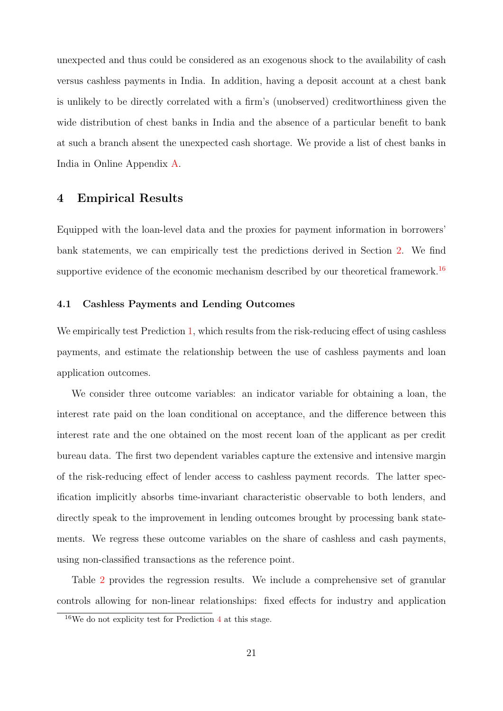unexpected and thus could be considered as an exogenous shock to the availability of cash versus cashless payments in India. In addition, having a deposit account at a chest bank is unlikely to be directly correlated with a firm's (unobserved) creditworthiness given the wide distribution of chest banks in India and the absence of a particular benefit to bank at such a branch absent the unexpected cash shortage. We provide a list of chest banks in India in Online Appendix [A.](#page-39-0)

## <span id="page-21-0"></span>4 Empirical Results

Equipped with the loan-level data and the proxies for payment information in borrowers' bank statements, we can empirically test the predictions derived in Section [2.](#page-8-0) We find supportive evidence of the economic mechanism described by our theoretical framework.<sup>[16](#page-21-1)</sup>

#### 4.1 Cashless Payments and Lending Outcomes

We empirically test Prediction [1,](#page-13-2) which results from the risk-reducing effect of using cashless payments, and estimate the relationship between the use of cashless payments and loan application outcomes.

We consider three outcome variables: an indicator variable for obtaining a loan, the interest rate paid on the loan conditional on acceptance, and the difference between this interest rate and the one obtained on the most recent loan of the applicant as per credit bureau data. The first two dependent variables capture the extensive and intensive margin of the risk-reducing effect of lender access to cashless payment records. The latter specification implicitly absorbs time-invariant characteristic observable to both lenders, and directly speak to the improvement in lending outcomes brought by processing bank statements. We regress these outcome variables on the share of cashless and cash payments, using non-classified transactions as the reference point.

Table [2](#page-33-0) provides the regression results. We include a comprehensive set of granular controls allowing for non-linear relationships: fixed effects for industry and application

<span id="page-21-1"></span><sup>16</sup>We do not explicity test for Prediction [4](#page-18-1) at this stage.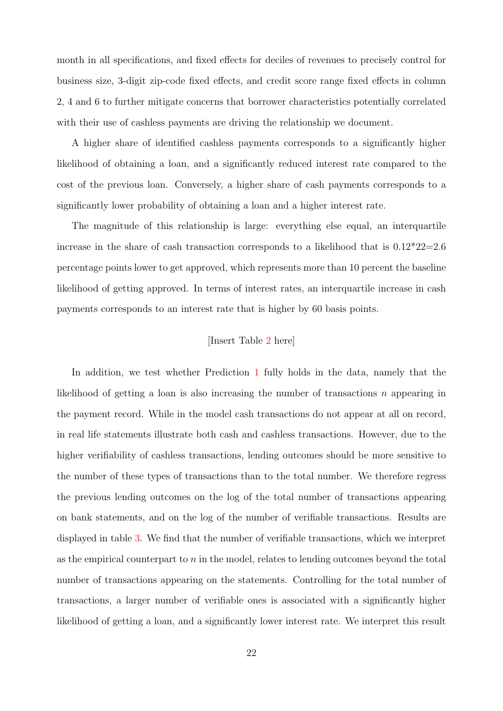month in all specifications, and fixed effects for deciles of revenues to precisely control for business size, 3-digit zip-code fixed effects, and credit score range fixed effects in column 2, 4 and 6 to further mitigate concerns that borrower characteristics potentially correlated with their use of cashless payments are driving the relationship we document.

A higher share of identified cashless payments corresponds to a significantly higher likelihood of obtaining a loan, and a significantly reduced interest rate compared to the cost of the previous loan. Conversely, a higher share of cash payments corresponds to a significantly lower probability of obtaining a loan and a higher interest rate.

The magnitude of this relationship is large: everything else equal, an interquartile increase in the share of cash transaction corresponds to a likelihood that is  $0.12^*22=2.6$ percentage points lower to get approved, which represents more than 10 percent the baseline likelihood of getting approved. In terms of interest rates, an interquartile increase in cash payments corresponds to an interest rate that is higher by 60 basis points.

#### [Insert Table [2](#page-33-0) here]

In addition, we test whether Prediction [1](#page-12-0) fully holds in the data, namely that the likelihood of getting a loan is also increasing the number of transactions  $n$  appearing in the payment record. While in the model cash transactions do not appear at all on record, in real life statements illustrate both cash and cashless transactions. However, due to the higher verifiability of cashless transactions, lending outcomes should be more sensitive to the number of these types of transactions than to the total number. We therefore regress the previous lending outcomes on the log of the total number of transactions appearing on bank statements, and on the log of the number of verifiable transactions. Results are displayed in table [3.](#page-34-0) We find that the number of verifiable transactions, which we interpret as the empirical counterpart to  $n$  in the model, relates to lending outcomes beyond the total number of transactions appearing on the statements. Controlling for the total number of transactions, a larger number of verifiable ones is associated with a significantly higher likelihood of getting a loan, and a significantly lower interest rate. We interpret this result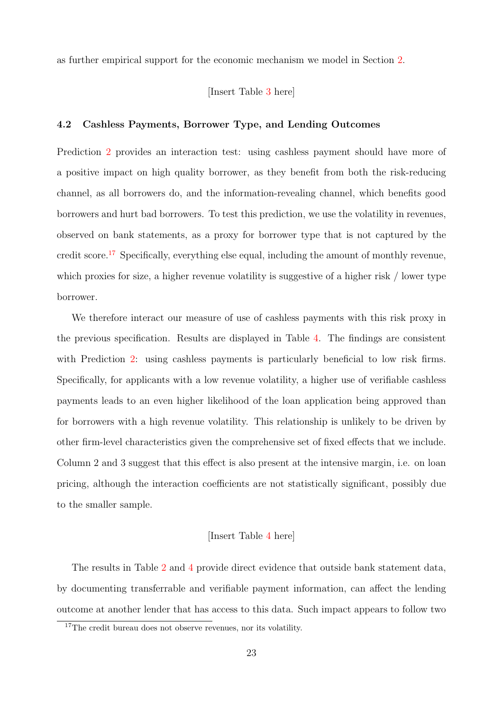as further empirical support for the economic mechanism we model in Section [2.](#page-8-0)

#### [Insert Table [3](#page-34-0) here]

### 4.2 Cashless Payments, Borrower Type, and Lending Outcomes

Prediction [2](#page-13-3) provides an interaction test: using cashless payment should have more of a positive impact on high quality borrower, as they benefit from both the risk-reducing channel, as all borrowers do, and the information-revealing channel, which benefits good borrowers and hurt bad borrowers. To test this prediction, we use the volatility in revenues, observed on bank statements, as a proxy for borrower type that is not captured by the credit score.<sup>[17](#page-23-0)</sup> Specifically, everything else equal, including the amount of monthly revenue, which proxies for size, a higher revenue volatility is suggestive of a higher risk / lower type borrower.

We therefore interact our measure of use of cashless payments with this risk proxy in the previous specification. Results are displayed in Table [4.](#page-35-0) The findings are consistent with Prediction [2:](#page-13-3) using cashless payments is particularly beneficial to low risk firms. Specifically, for applicants with a low revenue volatility, a higher use of verifiable cashless payments leads to an even higher likelihood of the loan application being approved than for borrowers with a high revenue volatility. This relationship is unlikely to be driven by other firm-level characteristics given the comprehensive set of fixed effects that we include. Column 2 and 3 suggest that this effect is also present at the intensive margin, i.e. on loan pricing, although the interaction coefficients are not statistically significant, possibly due to the smaller sample.

#### [Insert Table [4](#page-35-0) here]

The results in Table [2](#page-33-0) and [4](#page-35-0) provide direct evidence that outside bank statement data, by documenting transferrable and verifiable payment information, can affect the lending outcome at another lender that has access to this data. Such impact appears to follow two

<span id="page-23-0"></span><sup>&</sup>lt;sup>17</sup>The credit bureau does not observe revenues, nor its volatility.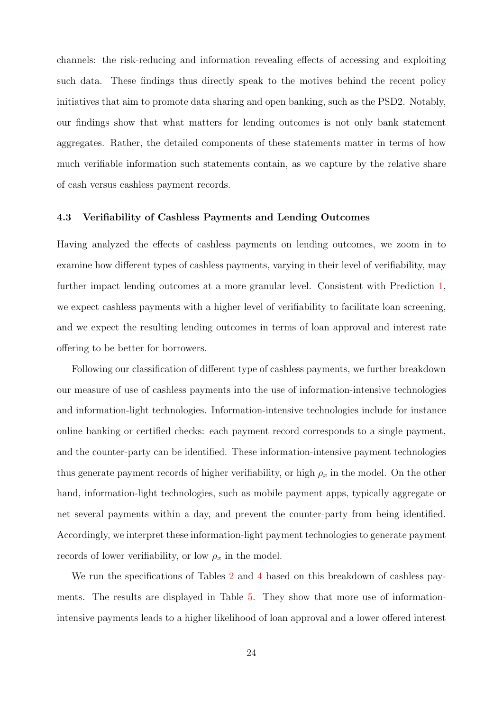channels: the risk-reducing and information revealing effects of accessing and exploiting such data. These findings thus directly speak to the motives behind the recent policy initiatives that aim to promote data sharing and open banking, such as the PSD2. Notably, our findings show that what matters for lending outcomes is not only bank statement aggregates. Rather, the detailed components of these statements matter in terms of how much verifiable information such statements contain, as we capture by the relative share of cash versus cashless payment records.

#### 4.3 Verifiability of Cashless Payments and Lending Outcomes

Having analyzed the effects of cashless payments on lending outcomes, we zoom in to examine how different types of cashless payments, varying in their level of verifiability, may further impact lending outcomes at a more granular level. Consistent with Prediction [1,](#page-13-2) we expect cashless payments with a higher level of verifiability to facilitate loan screening, and we expect the resulting lending outcomes in terms of loan approval and interest rate offering to be better for borrowers.

Following our classification of different type of cashless payments, we further breakdown our measure of use of cashless payments into the use of information-intensive technologies and information-light technologies. Information-intensive technologies include for instance online banking or certified checks: each payment record corresponds to a single payment, and the counter-party can be identified. These information-intensive payment technologies thus generate payment records of higher verifiability, or high  $\rho_x$  in the model. On the other hand, information-light technologies, such as mobile payment apps, typically aggregate or net several payments within a day, and prevent the counter-party from being identified. Accordingly, we interpret these information-light payment technologies to generate payment records of lower verifiability, or low  $\rho_x$  in the model.

We run the specifications of Tables [2](#page-33-0) and [4](#page-35-0) based on this breakdown of cashless payments. The results are displayed in Table [5.](#page-36-0) They show that more use of informationintensive payments leads to a higher likelihood of loan approval and a lower offered interest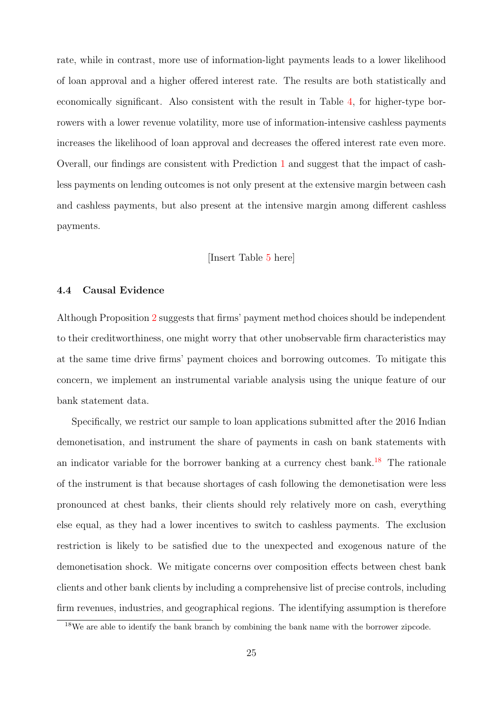rate, while in contrast, more use of information-light payments leads to a lower likelihood of loan approval and a higher offered interest rate. The results are both statistically and economically significant. Also consistent with the result in Table [4,](#page-35-0) for higher-type borrowers with a lower revenue volatility, more use of information-intensive cashless payments increases the likelihood of loan approval and decreases the offered interest rate even more. Overall, our findings are consistent with Prediction [1](#page-13-2) and suggest that the impact of cashless payments on lending outcomes is not only present at the extensive margin between cash and cashless payments, but also present at the intensive margin among different cashless payments.

### [Insert Table [5](#page-36-0) here]

### 4.4 Causal Evidence

Although Proposition [2](#page-15-1) suggests that firms' payment method choices should be independent to their creditworthiness, one might worry that other unobservable firm characteristics may at the same time drive firms' payment choices and borrowing outcomes. To mitigate this concern, we implement an instrumental variable analysis using the unique feature of our bank statement data.

Specifically, we restrict our sample to loan applications submitted after the 2016 Indian demonetisation, and instrument the share of payments in cash on bank statements with an indicator variable for the borrower banking at a currency chest bank.<sup>[18](#page-25-0)</sup> The rationale of the instrument is that because shortages of cash following the demonetisation were less pronounced at chest banks, their clients should rely relatively more on cash, everything else equal, as they had a lower incentives to switch to cashless payments. The exclusion restriction is likely to be satisfied due to the unexpected and exogenous nature of the demonetisation shock. We mitigate concerns over composition effects between chest bank clients and other bank clients by including a comprehensive list of precise controls, including firm revenues, industries, and geographical regions. The identifying assumption is therefore

<span id="page-25-0"></span><sup>&</sup>lt;sup>18</sup>We are able to identify the bank branch by combining the bank name with the borrower zipcode.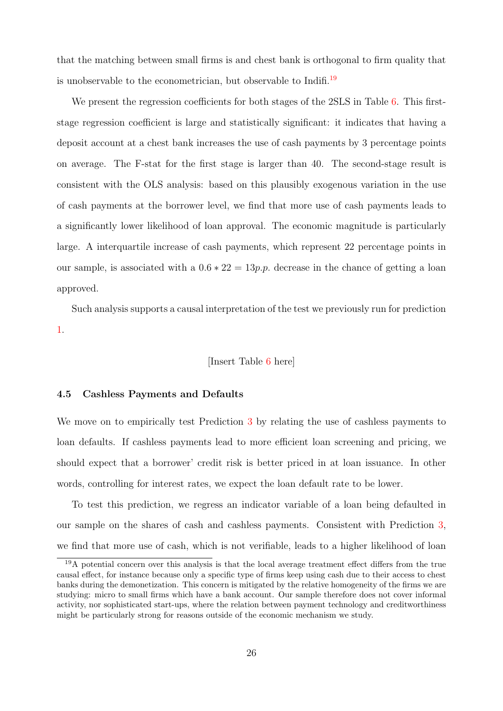that the matching between small firms is and chest bank is orthogonal to firm quality that is unobservable to the econometrician, but observable to Indifi.<sup>[19](#page-26-0)</sup>

We present the regression coefficients for both stages of the 2SLS in Table [6.](#page-37-0) This firststage regression coefficient is large and statistically significant: it indicates that having a deposit account at a chest bank increases the use of cash payments by 3 percentage points on average. The F-stat for the first stage is larger than 40. The second-stage result is consistent with the OLS analysis: based on this plausibly exogenous variation in the use of cash payments at the borrower level, we find that more use of cash payments leads to a significantly lower likelihood of loan approval. The economic magnitude is particularly large. A interquartile increase of cash payments, which represent 22 percentage points in our sample, is associated with a  $0.6 * 22 = 13p.p.$  decrease in the chance of getting a loan approved.

Such analysis supports a causal interpretation of the test we previously run for prediction [1.](#page-13-2)

#### [Insert Table [6](#page-37-0) here]

### 4.5 Cashless Payments and Defaults

We move on to empirically test Prediction [3](#page-14-0) by relating the use of cashless payments to loan defaults. If cashless payments lead to more efficient loan screening and pricing, we should expect that a borrower' credit risk is better priced in at loan issuance. In other words, controlling for interest rates, we expect the loan default rate to be lower.

To test this prediction, we regress an indicator variable of a loan being defaulted in our sample on the shares of cash and cashless payments. Consistent with Prediction [3,](#page-14-0) we find that more use of cash, which is not verifiable, leads to a higher likelihood of loan

<span id="page-26-0"></span><sup>&</sup>lt;sup>19</sup>A potential concern over this analysis is that the local average treatment effect differs from the true causal effect, for instance because only a specific type of firms keep using cash due to their access to chest banks during the demonetization. This concern is mitigated by the relative homogeneity of the firms we are studying: micro to small firms which have a bank account. Our sample therefore does not cover informal activity, nor sophisticated start-ups, where the relation between payment technology and creditworthiness might be particularly strong for reasons outside of the economic mechanism we study.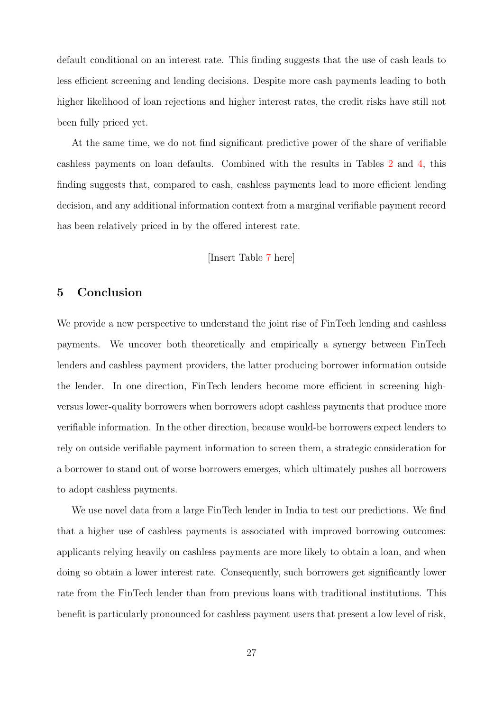default conditional on an interest rate. This finding suggests that the use of cash leads to less efficient screening and lending decisions. Despite more cash payments leading to both higher likelihood of loan rejections and higher interest rates, the credit risks have still not been fully priced yet.

At the same time, we do not find significant predictive power of the share of verifiable cashless payments on loan defaults. Combined with the results in Tables [2](#page-33-0) and [4,](#page-35-0) this finding suggests that, compared to cash, cashless payments lead to more efficient lending decision, and any additional information context from a marginal verifiable payment record has been relatively priced in by the offered interest rate.

### [Insert Table [7](#page-38-0) here]

## <span id="page-27-0"></span>5 Conclusion

We provide a new perspective to understand the joint rise of FinTech lending and cashless payments. We uncover both theoretically and empirically a synergy between FinTech lenders and cashless payment providers, the latter producing borrower information outside the lender. In one direction, FinTech lenders become more efficient in screening highversus lower-quality borrowers when borrowers adopt cashless payments that produce more verifiable information. In the other direction, because would-be borrowers expect lenders to rely on outside verifiable payment information to screen them, a strategic consideration for a borrower to stand out of worse borrowers emerges, which ultimately pushes all borrowers to adopt cashless payments.

We use novel data from a large FinTech lender in India to test our predictions. We find that a higher use of cashless payments is associated with improved borrowing outcomes: applicants relying heavily on cashless payments are more likely to obtain a loan, and when doing so obtain a lower interest rate. Consequently, such borrowers get significantly lower rate from the FinTech lender than from previous loans with traditional institutions. This benefit is particularly pronounced for cashless payment users that present a low level of risk,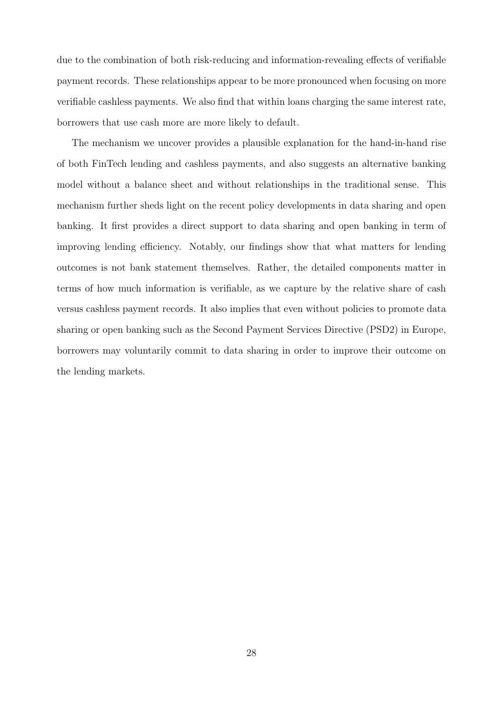due to the combination of both risk-reducing and information-revealing effects of verifiable payment records. These relationships appear to be more pronounced when focusing on more verifiable cashless payments. We also find that within loans charging the same interest rate, borrowers that use cash more are more likely to default.

The mechanism we uncover provides a plausible explanation for the hand-in-hand rise of both FinTech lending and cashless payments, and also suggests an alternative banking model without a balance sheet and without relationships in the traditional sense. This mechanism further sheds light on the recent policy developments in data sharing and open banking. It first provides a direct support to data sharing and open banking in term of improving lending efficiency. Notably, our findings show that what matters for lending outcomes is not bank statement themselves. Rather, the detailed components matter in terms of how much information is verifiable, as we capture by the relative share of cash versus cashless payment records. It also implies that even without policies to promote data sharing or open banking such as the Second Payment Services Directive (PSD2) in Europe, borrowers may voluntarily commit to data sharing in order to improve their outcome on the lending markets.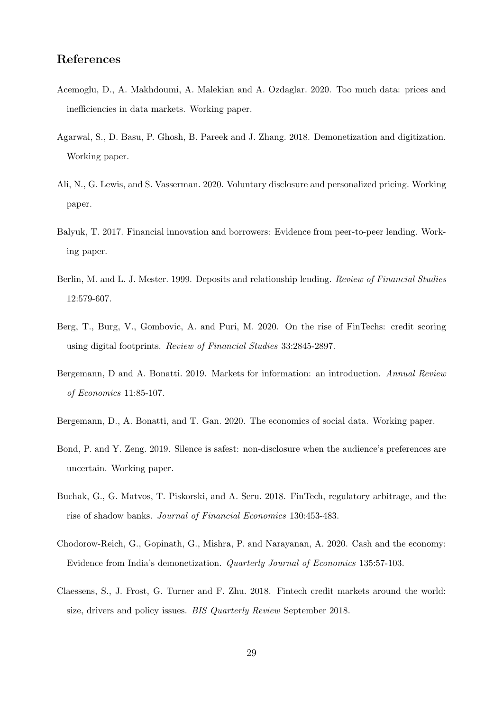# References

- <span id="page-29-8"></span>Acemoglu, D., A. Makhdoumi, A. Malekian and A. Ozdaglar. 2020. Too much data: prices and inefficiencies in data markets. Working paper.
- <span id="page-29-4"></span>Agarwal, S., D. Basu, P. Ghosh, B. Pareek and J. Zhang. 2018. Demonetization and digitization. Working paper.
- <span id="page-29-10"></span>Ali, N., G. Lewis, and S. Vasserman. 2020. Voluntary disclosure and personalized pricing. Working paper.
- <span id="page-29-7"></span>Balyuk, T. 2017. Financial innovation and borrowers: Evidence from peer-to-peer lending. Working paper.
- <span id="page-29-0"></span>Berlin, M. and L. J. Mester. 1999. Deposits and relationship lending. Review of Financial Studies 12:579-607.
- <span id="page-29-3"></span>Berg, T., Burg, V., Gombovic, A. and Puri, M. 2020. On the rise of FinTechs: credit scoring using digital footprints. Review of Financial Studies 33:2845-2897.
- <span id="page-29-6"></span>Bergemann, D and A. Bonatti. 2019. Markets for information: an introduction. Annual Review of Economics 11:85-107.
- <span id="page-29-9"></span>Bergemann, D., A. Bonatti, and T. Gan. 2020. The economics of social data. Working paper.
- <span id="page-29-11"></span>Bond, P. and Y. Zeng. 2019. Silence is safest: non-disclosure when the audience's preferences are uncertain. Working paper.
- <span id="page-29-1"></span>Buchak, G., G. Matvos, T. Piskorski, and A. Seru. 2018. FinTech, regulatory arbitrage, and the rise of shadow banks. Journal of Financial Economics 130:453-483.
- <span id="page-29-5"></span>Chodorow-Reich, G., Gopinath, G., Mishra, P. and Narayanan, A. 2020. Cash and the economy: Evidence from India's demonetization. Quarterly Journal of Economics 135:57-103.
- <span id="page-29-2"></span>Claessens, S., J. Frost, G. Turner and F. Zhu. 2018. Fintech credit markets around the world: size, drivers and policy issues. *BIS Quarterly Review* September 2018.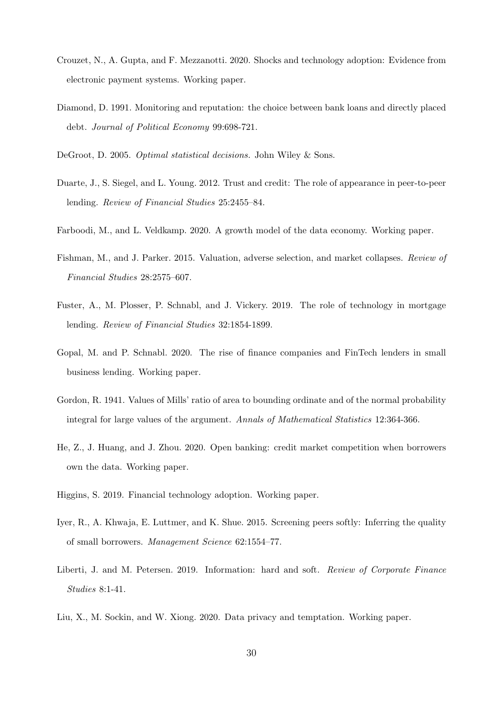- <span id="page-30-5"></span>Crouzet, N., A. Gupta, and F. Mezzanotti. 2020. Shocks and technology adoption: Evidence from electronic payment systems. Working paper.
- <span id="page-30-0"></span>Diamond, D. 1991. Monitoring and reputation: the choice between bank loans and directly placed debt. Journal of Political Economy 99:698-721.
- <span id="page-30-12"></span>DeGroot, D. 2005. Optimal statistical decisions. John Wiley & Sons.
- <span id="page-30-7"></span>Duarte, J., S. Siegel, and L. Young. 2012. Trust and credit: The role of appearance in peer-to-peer lending. Review of Financial Studies 25:2455–84.
- <span id="page-30-10"></span>Farboodi, M., and L. Veldkamp. 2020. A growth model of the data economy. Working paper.
- <span id="page-30-11"></span>Fishman, M., and J. Parker. 2015. Valuation, adverse selection, and market collapses. Review of Financial Studies 28:2575–607.
- <span id="page-30-1"></span>Fuster, A., M. Plosser, P. Schnabl, and J. Vickery. 2019. The role of technology in mortgage lending. Review of Financial Studies 32:1854-1899.
- <span id="page-30-2"></span>Gopal, M. and P. Schnabl. 2020. The rise of finance companies and FinTech lenders in small business lending. Working paper.
- <span id="page-30-13"></span>Gordon, R. 1941. Values of Mills' ratio of area to bounding ordinate and of the normal probability integral for large values of the argument. Annals of Mathematical Statistics 12:364-366.
- <span id="page-30-6"></span>He, Z., J. Huang, and J. Zhou. 2020. Open banking: credit market competition when borrowers own the data. Working paper.
- <span id="page-30-4"></span>Higgins, S. 2019. Financial technology adoption. Working paper.
- <span id="page-30-8"></span>Iyer, R., A. Khwaja, E. Luttmer, and K. Shue. 2015. Screening peers softly: Inferring the quality of small borrowers. Management Science 62:1554–77.
- <span id="page-30-3"></span>Liberti, J. and M. Petersen. 2019. Information: hard and soft. Review of Corporate Finance Studies 8:1-41.
- <span id="page-30-9"></span>Liu, X., M. Sockin, and W. Xiong. 2020. Data privacy and temptation. Working paper.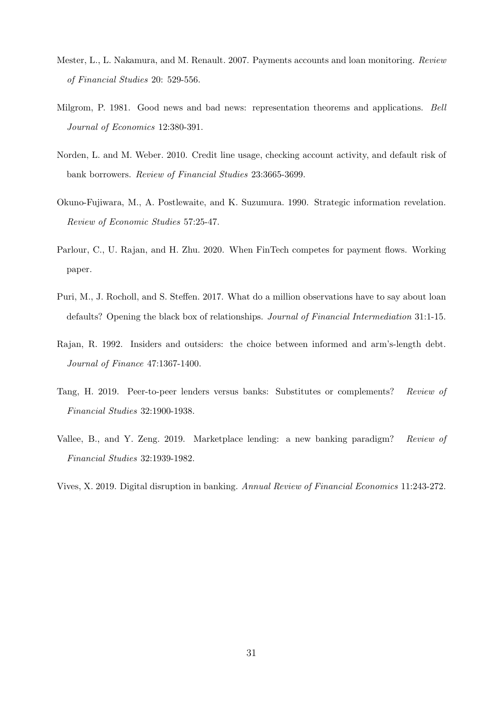- <span id="page-31-4"></span>Mester, L., L. Nakamura, and M. Renault. 2007. Payments accounts and loan monitoring. Review of Financial Studies 20: 529-556.
- <span id="page-31-3"></span>Milgrom, P. 1981. Good news and bad news: representation theorems and applications. Bell Journal of Economics 12:380-391.
- <span id="page-31-5"></span>Norden, L. and M. Weber. 2010. Credit line usage, checking account activity, and default risk of bank borrowers. Review of Financial Studies 23:3665-3699.
- <span id="page-31-9"></span>Okuno-Fujiwara, M., A. Postlewaite, and K. Suzumura. 1990. Strategic information revelation. Review of Economic Studies 57:25-47.
- <span id="page-31-6"></span>Parlour, C., U. Rajan, and H. Zhu. 2020. When FinTech competes for payment flows. Working paper.
- <span id="page-31-1"></span>Puri, M., J. Rocholl, and S. Steffen. 2017. What do a million observations have to say about loan defaults? Opening the black box of relationships. Journal of Financial Intermediation 31:1-15.
- <span id="page-31-0"></span>Rajan, R. 1992. Insiders and outsiders: the choice between informed and arm's-length debt. Journal of Finance 47:1367-1400.
- <span id="page-31-7"></span>Tang, H. 2019. Peer-to-peer lenders versus banks: Substitutes or complements? Review of Financial Studies 32:1900-1938.
- <span id="page-31-8"></span>Vallee, B., and Y. Zeng. 2019. Marketplace lending: a new banking paradigm? Review of Financial Studies 32:1939-1982.
- <span id="page-31-2"></span>Vives, X. 2019. Digital disruption in banking. Annual Review of Financial Economics 11:243-272.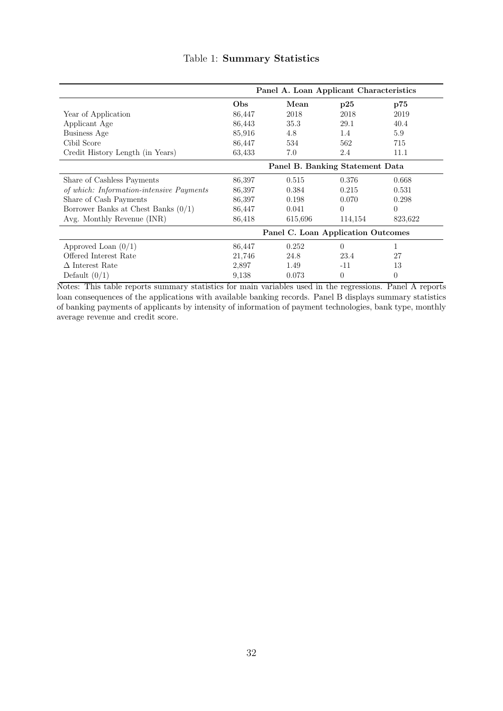<span id="page-32-0"></span>

|                                          | Panel A. Loan Applicant Characteristics |         |          |          |
|------------------------------------------|-----------------------------------------|---------|----------|----------|
|                                          | Obs                                     | Mean    | p25      | p75      |
| Year of Application                      | 86,447                                  | 2018    | 2018     | 2019     |
| Applicant Age                            | 86,443                                  | 35.3    | 29.1     | 40.4     |
| Business Age                             | 85,916                                  | 4.8     | 1.4      | 5.9      |
| Cibil Score                              | 86,447                                  | 534     | 562      | 715      |
| Credit History Length (in Years)         | 63,433                                  | 7.0     | 2.4      | 11.1     |
|                                          | Panel B. Banking Statement Data         |         |          |          |
| Share of Cashless Payments               | 86,397                                  | 0.515   | 0.376    | 0.668    |
| of which: Information-intensive Payments | 86,397                                  | 0.384   | 0.215    | 0.531    |
| Share of Cash Payments                   | 86,397                                  | 0.198   | 0.070    | 0.298    |
| Borrower Banks at Chest Banks $(0/1)$    | 86,447                                  | 0.041   | $\Omega$ | $\Omega$ |
| Avg. Monthly Revenue (INR)               | 86,418                                  | 615,696 | 114,154  | 823,622  |
|                                          | Panel C. Loan Application Outcomes      |         |          |          |
| Approved Loan $(0/1)$                    | 86,447                                  | 0.252   | $\Omega$ | 1        |
| Offered Interest Rate                    | 21,746                                  | 24.8    | 23.4     | 27       |
| $\Delta$ Interest Rate                   | 2,897                                   | 1.49    | $-11$    | 13       |
| Default $(0/1)$                          | 9,138                                   | 0.073   | $\theta$ | $\theta$ |

# Table 1: Summary Statistics

Notes: This table reports summary statistics for main variables used in the regressions. Panel A reports loan consequences of the applications with available banking records. Panel B displays summary statistics of banking payments of applicants by intensity of information of payment technologies, bank type, monthly average revenue and credit score.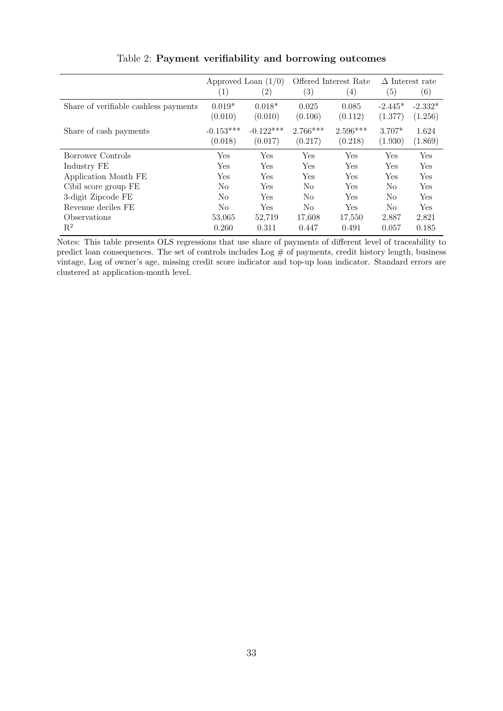<span id="page-33-0"></span>

|                                       | Approved Loan $(1/0)$  |                        | Offered Interest Rate |                       | $\Delta$ Interest rate |                      |
|---------------------------------------|------------------------|------------------------|-----------------------|-----------------------|------------------------|----------------------|
|                                       | $\left( 1\right)$      | $\left( 2\right)$      | (3)                   | $\left(4\right)$      | (5)                    | (6)                  |
| Share of verifiable cashless payments | $0.019*$<br>(0.010)    | $0.018*$<br>(0.010)    | 0.025<br>(0.106)      | 0.085<br>(0.112)      | $-2.445*$<br>(1.377)   | $-2.332*$<br>(1.256) |
| Share of cash payments                | $-0.153***$<br>(0.018) | $-0.122***$<br>(0.017) | $2.766***$<br>(0.217) | $2.596***$<br>(0.218) | $3.707*$<br>(1.930)    | 1.624<br>(1.869)     |
| Borrower Controls                     | Yes                    | Yes                    | Yes                   | Yes                   | Yes                    | Yes                  |
| Industry FE                           | Yes                    | Yes                    | Yes                   | Yes                   | Yes                    | Yes                  |
| Application Month FE                  | Yes                    | <b>Yes</b>             | Yes                   | Yes                   | Yes                    | Yes                  |
| Cibil score group FE                  | N <sub>o</sub>         | <b>Yes</b>             | No                    | Yes                   | N <sub>o</sub>         | Yes                  |
| 3-digit Zipcode FE                    | N <sub>o</sub>         | <b>Yes</b>             | N <sub>0</sub>        | <b>Yes</b>            | No                     | Yes                  |
| Revenue deciles FE                    | No                     | <b>Yes</b>             | N <sub>0</sub>        | Yes                   | No                     | Yes                  |
| Observations                          | 53,065                 | 52,719                 | 17,608                | 17,550                | 2,887                  | 2,821                |
| $\mathrm{R}^2$                        | 0.260                  | 0.311                  | 0.447                 | 0.491                 | 0.057                  | 0.185                |

Table 2: Payment verifiability and borrowing outcomes

Notes: This table presents OLS regressions that use share of payments of different level of traceability to predict loan consequences. The set of controls includes Log # of payments, credit history length, business vintage, Log of owner's age, missing credit score indicator and top-up loan indicator. Standard errors are clustered at application-month level.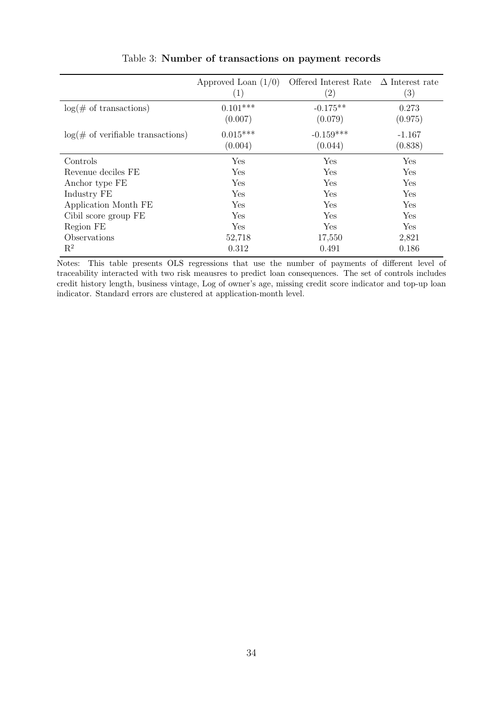<span id="page-34-0"></span>

|                                             | Approved Loan $(1/0)$<br>(1) | Offered Interest Rate<br>$\left( 2\right)$ | $\Delta$ Interest rate<br>$\left( 3\right)$ |
|---------------------------------------------|------------------------------|--------------------------------------------|---------------------------------------------|
| $log(\text{\# of transactions})$            | $0.101***$                   | $-0.175**$                                 | 0.273                                       |
|                                             | (0.007)                      | (0.079)                                    | (0.975)                                     |
| $log(\text{\# of verifiable transactions})$ | $0.015***$                   | $-0.159***$                                | $-1.167$                                    |
|                                             | (0.004)                      | (0.044)                                    | (0.838)                                     |
| Controls                                    | Yes                          | Yes                                        | Yes                                         |
| Revenue deciles FE                          | <b>Yes</b>                   | <b>Yes</b>                                 | Yes                                         |
| Anchor type FE                              | Yes                          | <b>Yes</b>                                 | Yes                                         |
| Industry FE                                 | Yes                          | <b>Yes</b>                                 | Yes                                         |
| Application Month FE                        | Yes                          | <b>Yes</b>                                 | Yes                                         |
| Cibil score group FE                        | Yes                          | Yes                                        | Yes                                         |
| Region FE                                   | <b>Yes</b>                   | Yes                                        | Yes                                         |
| Observations                                | 52,718                       | 17,550                                     | 2,821                                       |
| $\mathrm{R}^2$                              | 0.312                        | 0.491                                      | 0.186                                       |

Table 3: Number of transactions on payment records

Notes: This table presents OLS regressions that use the number of payments of different level of traceability interacted with two risk meausres to predict loan consequences. The set of controls includes credit history length, business vintage, Log of owner's age, missing credit score indicator and top-up loan indicator. Standard errors are clustered at application-month level.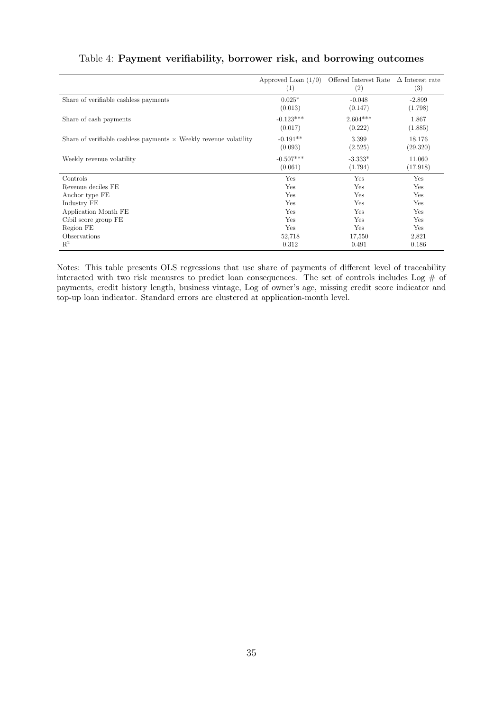|                                                                          | Approved Loan $(1/0)$<br>(1) | Offered Interest Rate<br>(2) | $\Delta$ Interest rate<br>(3) |
|--------------------------------------------------------------------------|------------------------------|------------------------------|-------------------------------|
| Share of verifiable cashless payments                                    | $0.025*$<br>(0.013)          | $-0.048$<br>(0.147)          | $-2.899$<br>(1.798)           |
| Share of cash payments                                                   | $-0.123***$<br>(0.017)       | $2.604***$<br>(0.222)        | 1.867<br>(1.885)              |
| Share of verifiable cashless payments $\times$ Weekly revenue volatility | $-0.191**$<br>(0.093)        | 3.399<br>(2.525)             | 18.176<br>(29.320)            |
| Weekly revenue volatility                                                | $-0.507***$<br>(0.061)       | $-3.333*$<br>(1.794)         | 11.060<br>(17.918)            |
| Controls                                                                 | Yes                          | Yes                          | Yes                           |
| Revenue deciles FE                                                       | Yes                          | Yes                          | Yes                           |
| Anchor type FE                                                           | Yes                          | Yes                          | Yes                           |
| Industry FE                                                              | Yes                          | Yes                          | Yes                           |
| Application Month FE                                                     | Yes                          | Yes                          | Yes                           |
| Cibil score group FE                                                     | Yes                          | Yes                          | Yes                           |
| Region FE                                                                | Yes                          | Yes                          | Yes                           |
| Observations                                                             | 52,718                       | 17,550                       | 2,821                         |
| $\mathbf{R}^2$                                                           | 0.312                        | 0.491                        | 0.186                         |

# <span id="page-35-0"></span>Table 4: Payment verifiability, borrower risk, and borrowing outcomes

Notes: This table presents OLS regressions that use share of payments of different level of traceability interacted with two risk meausres to predict loan consequences. The set of controls includes Log  $\#$  of payments, credit history length, business vintage, Log of owner's age, missing credit score indicator and top-up loan indicator. Standard errors are clustered at application-month level.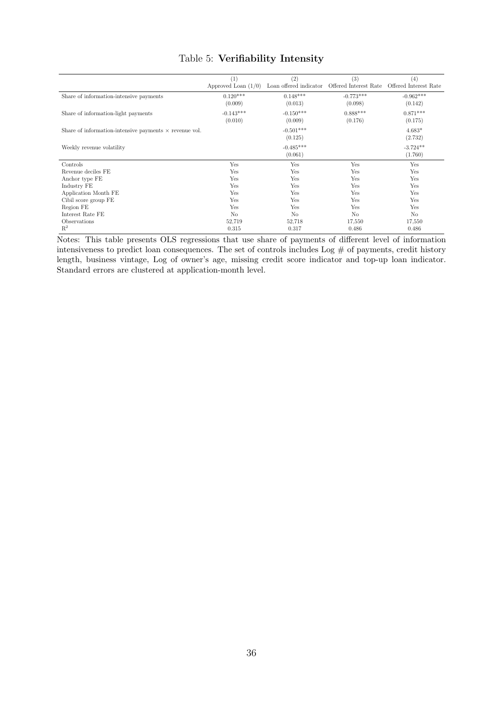<span id="page-36-0"></span>

|                                                               | $\left  \right $      | (2)                    | (3)                   | (4)                   |
|---------------------------------------------------------------|-----------------------|------------------------|-----------------------|-----------------------|
|                                                               | Approved Loan $(1/0)$ | Loan offered indicator | Offered Interest Rate | Offered Interest Rate |
| Share of information-intensive payments                       | $0.120***$            | $0.148***$             | $-0.773***$           | $-0.962***$           |
|                                                               | (0.009)               | (0.013)                | (0.098)               | (0.142)               |
| Share of information-light payments                           | $-0.143***$           | $-0.150***$            | $0.888***$            | $0.871***$            |
|                                                               | (0.010)               | (0.009)                | (0.176)               | (0.175)               |
| Share of information-intensive payments $\times$ revenue vol. |                       | $-0.501***$            |                       | $4.683*$              |
|                                                               |                       | (0.125)                |                       | (2.732)               |
| Weekly revenue volatility                                     |                       | $-0.485***$            |                       | $-3.724**$            |
|                                                               |                       | (0.061)                |                       | (1.760)               |
| Controls                                                      | Yes                   | Yes                    | Yes                   | Yes                   |
| Revenue deciles FE                                            | Yes                   | <b>Yes</b>             | Yes                   | Yes                   |
| Anchor type FE                                                | Yes                   | <b>Yes</b>             | Yes                   | Yes                   |
| Industry FE                                                   | Yes                   | <b>Yes</b>             | Yes                   | Yes                   |
| Application Month FE                                          | Yes                   | <b>Yes</b>             | Yes                   | Yes                   |
| Cibil score group FE                                          | Yes                   | <b>Yes</b>             | Yes                   | Yes                   |
| Region FE                                                     | Yes                   | Yes                    | Yes                   | Yes                   |
| Interest Rate FE                                              | N <sub>o</sub>        | N <sub>o</sub>         | N <sub>o</sub>        | N <sub>o</sub>        |
| Observations                                                  | 52,719                | 52,718                 | 17,550                | 17,550                |
| R <sup>2</sup>                                                | 0.315                 | 0.317                  | 0.486                 | 0.486                 |

# Table 5: Verifiability Intensity

Notes: This table presents OLS regressions that use share of payments of different level of information intensiveness to predict loan consequences. The set of controls includes Log # of payments, credit history length, business vintage, Log of owner's age, missing credit score indicator and top-up loan indicator. Standard errors are clustered at application-month level.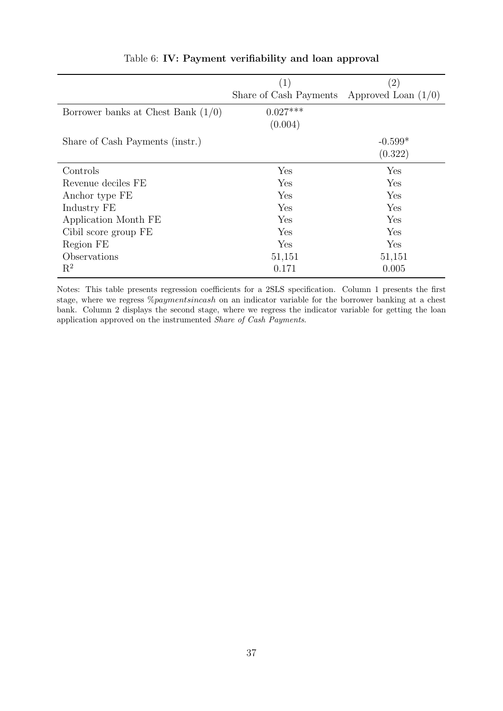<span id="page-37-0"></span>

|                                      | $\left( 1\right)$      | $\left( 2\right)$     |
|--------------------------------------|------------------------|-----------------------|
|                                      | Share of Cash Payments | Approved Loan $(1/0)$ |
| Borrower banks at Chest Bank $(1/0)$ | $0.027***$             |                       |
|                                      | (0.004)                |                       |
| Share of Cash Payments (instr.)      |                        | $-0.599*$             |
|                                      |                        | (0.322)               |
| Controls                             | Yes                    | Yes                   |
| Revenue deciles FE                   | Yes                    | Yes                   |
| Anchor type FE                       | Yes                    | Yes                   |
| Industry FE                          | Yes                    | Yes                   |
| Application Month FE                 | Yes                    | Yes                   |
| Cibil score group FE                 | Yes                    | Yes                   |
| Region FE                            | Yes                    | Yes                   |
| Observations                         | 51,151                 | 51,151                |
| $\mathrm{R}^2$                       | 0.171                  | 0.005                 |

# Table 6: IV: Payment verifiability and loan approval

Notes: This table presents regression coefficients for a 2SLS specification. Column 1 presents the first stage, where we regress %paymentsincash on an indicator variable for the borrower banking at a chest bank. Column 2 displays the second stage, where we regress the indicator variable for getting the loan application approved on the instrumented Share of Cash Payments.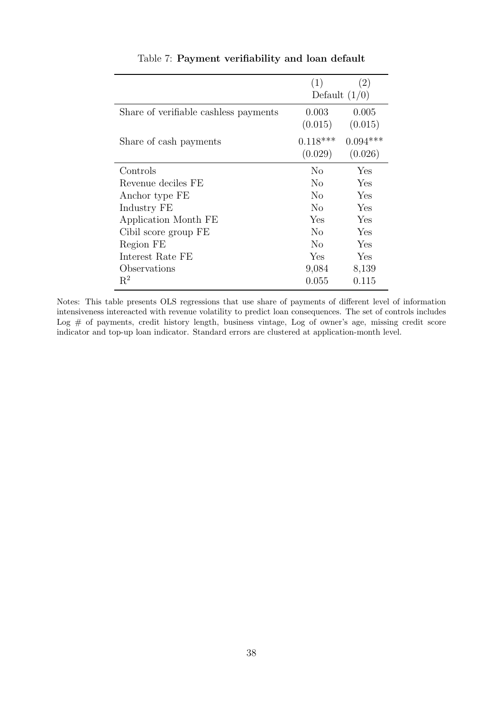<span id="page-38-0"></span>

|                                       | (1)             | (2)        |
|---------------------------------------|-----------------|------------|
|                                       | Default $(1/0)$ |            |
| Share of verifiable cashless payments | 0.003           | 0.005      |
|                                       | (0.015)         | (0.015)    |
| Share of cash payments                | $0.118***$      | $0.094***$ |
|                                       | (0.029)         | (0.026)    |
| Controls                              | N <sub>0</sub>  | Yes        |
| Revenue deciles FE                    | N <sub>0</sub>  | Yes        |
| Anchor type FE                        | N <sub>0</sub>  | Yes        |
| Industry FE                           | N <sub>0</sub>  | Yes        |
| Application Month FE                  | Yes             | Yes        |
| Cibil score group FE                  | No              | Yes        |
| Region FE                             | No              | Yes        |
| Interest Rate FE                      | Yes             | Yes        |
| Observations                          | 9,084           | 8,139      |
| $R^2$                                 | 0.055           | 0.115      |

Table 7: Payment verifiability and loan default

Notes: This table presents OLS regressions that use share of payments of different level of information intensiveness intereacted with revenue volatility to predict loan consequences. The set of controls includes Log # of payments, credit history length, business vintage, Log of owner's age, missing credit score indicator and top-up loan indicator. Standard errors are clustered at application-month level.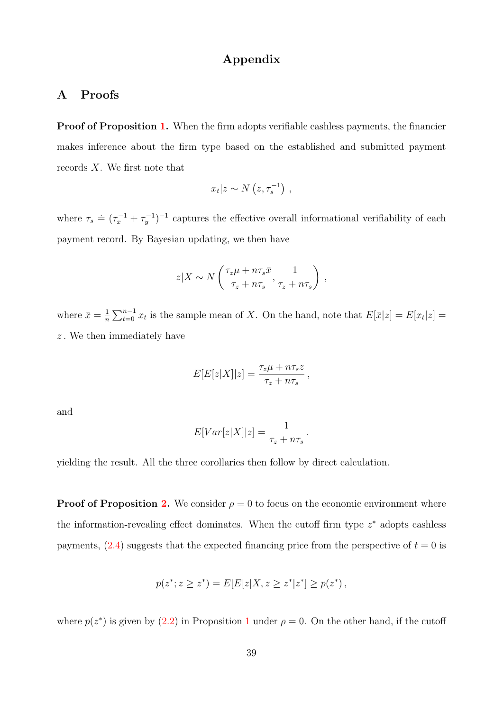## Appendix

# <span id="page-39-0"></span>A Proofs

Proof of Proposition [1.](#page-11-0) When the firm adopts verifiable cashless payments, the financier makes inference about the firm type based on the established and submitted payment records X. We first note that

$$
x_t|z \sim N\left(z, \tau_s^{-1}\right) ,
$$

where  $\tau_s \doteq (\tau_x^{-1} + \tau_y^{-1})^{-1}$  captures the effective overall informational verifiability of each payment record. By Bayesian updating, we then have

$$
z|X \sim N\left(\frac{\tau_z \mu + n \tau_s \bar{x}}{\tau_z + n \tau_s}, \frac{1}{\tau_z + n \tau_s}\right),\,
$$

where  $\bar{x} = \frac{1}{n}$  $\frac{1}{n}\sum_{t=0}^{n-1}x_t$  is the sample mean of X. On the hand, note that  $E[\bar{x}|z] = E[x_t|z] =$  $z$ . We then immediately have

$$
E[E[z|X]|z] = \frac{\tau_z \mu + n \tau_s z}{\tau_z + n \tau_s},
$$

and

$$
E[Var[z|X]|z] = \frac{1}{\tau_z + n\tau_s}.
$$

yielding the result. All the three corollaries then follow by direct calculation.

**Proof of Proposition [2.](#page-15-1)** We consider  $\rho = 0$  to focus on the economic environment where the information-revealing effect dominates. When the cutoff firm type  $z^*$  adopts cashless payments,  $(2.4)$  suggests that the expected financing price from the perspective of  $t = 0$  is

$$
p(z^*; z \ge z^*) = E[E[z|X, z \ge z^*|z^*] \ge p(z^*) ,
$$

where  $p(z^*)$  is given by  $(2.2)$  in Proposition [1](#page-11-0) under  $\rho = 0$ . On the other hand, if the cutoff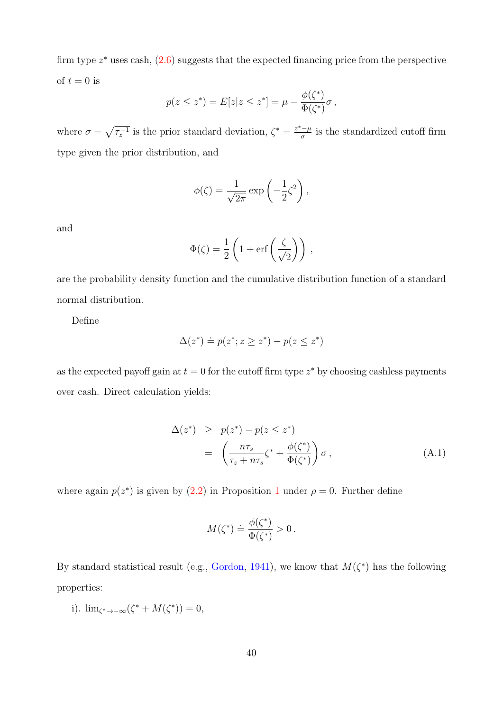firm type  $z^*$  uses cash,  $(2.6)$  suggests that the expected financing price from the perspective of  $t = 0$  is

$$
p(z \leq z^*) = E[z|z \leq z^*] = \mu - \frac{\phi(\zeta^*)}{\Phi(\zeta^*)} \sigma,
$$

where  $\sigma = \sqrt{\tau_z^{-1}}$  is the prior standard deviation,  $\zeta^* = \frac{z^* - \mu}{\sigma}$  $\frac{1-\mu}{\sigma}$  is the standardized cutoff firm type given the prior distribution, and

$$
\phi(\zeta) = \frac{1}{\sqrt{2\pi}} \exp\left(-\frac{1}{2}\zeta^2\right),\,
$$

and

$$
\Phi(\zeta) = \frac{1}{2} \left( 1 + \text{erf}\left(\frac{\zeta}{\sqrt{2}}\right) \right) \,,
$$

are the probability density function and the cumulative distribution function of a standard normal distribution.

Define

$$
\Delta(z^*) \doteq p(z^*; z \ge z^*) - p(z \le z^*)
$$

as the expected payoff gain at  $t = 0$  for the cutoff firm type  $z^*$  by choosing cashless payments over cash. Direct calculation yields:

<span id="page-40-0"></span>
$$
\Delta(z^*) \ge p(z^*) - p(z \le z^*)
$$
  
= 
$$
\left(\frac{n\tau_s}{\tau_z + n\tau_s}\zeta^* + \frac{\phi(\zeta^*)}{\Phi(\zeta^*)}\right)\sigma,
$$
 (A.1)

where again  $p(z^*)$  is given by  $(2.2)$  in Proposition [1](#page-11-0) under  $\rho = 0$ . Further define

$$
M(\zeta^*) \doteq \frac{\phi(\zeta^*)}{\Phi(\zeta^*)} > 0 \, .
$$

By standard statistical result (e.g., [Gordon,](#page-30-13) [1941\)](#page-30-13), we know that  $M(\zeta^*)$  has the following properties:

i).  $\lim_{\zeta^* \to -\infty} (\zeta^* + M(\zeta^*)) = 0,$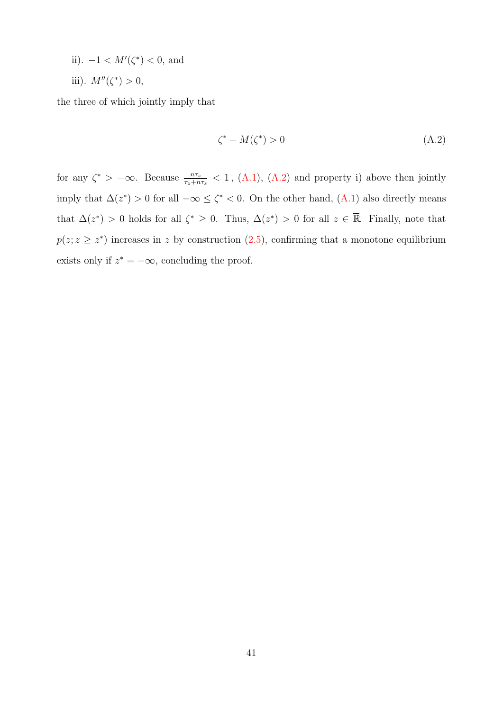- ii).  $-1 < M'(\zeta^*) < 0$ , and
- iii).  $M''(\zeta^*) > 0$ ,

the three of which jointly imply that

<span id="page-41-0"></span>
$$
\zeta^* + M(\zeta^*) > 0\tag{A.2}
$$

for any  $\zeta^*$  >  $-\infty$ . Because  $\frac{n\tau_s}{\tau_z+n\tau_s}$  < 1, [\(A.1\)](#page-40-0), [\(A.2\)](#page-41-0) and property i) above then jointly imply that  $\Delta(z^*) > 0$  for all  $-\infty \leq \zeta^* < 0$ . On the other hand,  $(A.1)$  also directly means that  $\Delta(z^*) > 0$  holds for all  $\zeta^* \geq 0$ . Thus,  $\Delta(z^*) > 0$  for all  $z \in \overline{\mathbb{R}}$ . Finally, note that  $p(z; z \geq z^*)$  increases in z by construction  $(2.5)$ , confirming that a monotone equilibrium exists only if  $z^* = -\infty$ , concluding the proof.